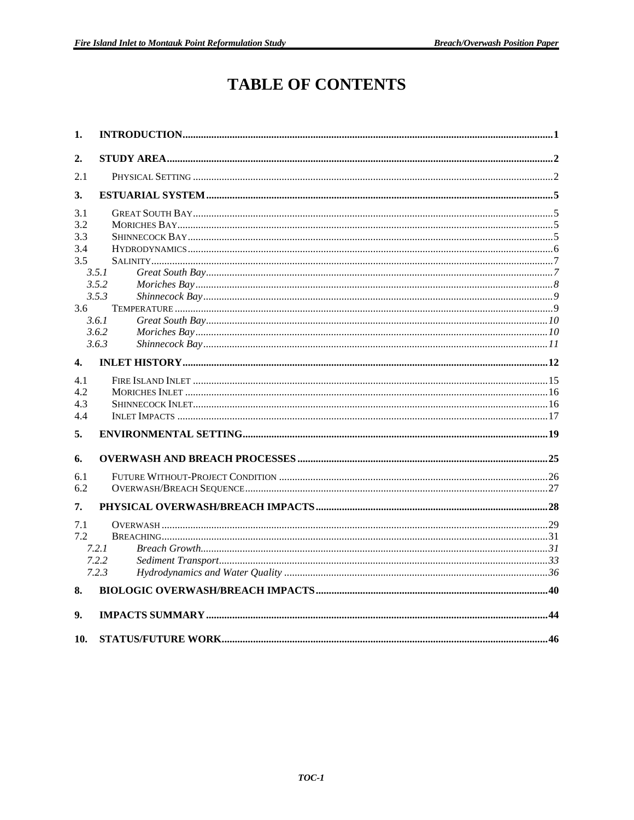# **TABLE OF CONTENTS**

| 1.                 |       |  |
|--------------------|-------|--|
| 2.                 |       |  |
| 2.1                |       |  |
| 3.                 |       |  |
| 3.1                |       |  |
| 3.2                |       |  |
| 3.3                |       |  |
| 3.4                |       |  |
| 3.5                |       |  |
|                    | 3.5.1 |  |
|                    | 3.5.2 |  |
|                    | 3.5.3 |  |
| 3.6                |       |  |
|                    | 3.6.1 |  |
|                    | 3.6.2 |  |
|                    | 3.6.3 |  |
| $\boldsymbol{4}$ . |       |  |
| 4.1                |       |  |
| 4.2                |       |  |
| 4.3                |       |  |
| 4.4                |       |  |
| 5.                 |       |  |
| 6.                 |       |  |
| 6.1                |       |  |
| 6.2                |       |  |
| 7.                 |       |  |
| 7.1                |       |  |
| 7.2                |       |  |
|                    | 7.2.1 |  |
|                    | 7.2.2 |  |
|                    | 7.2.3 |  |
| 8.                 |       |  |
|                    |       |  |
| 9.                 |       |  |
| 10.                |       |  |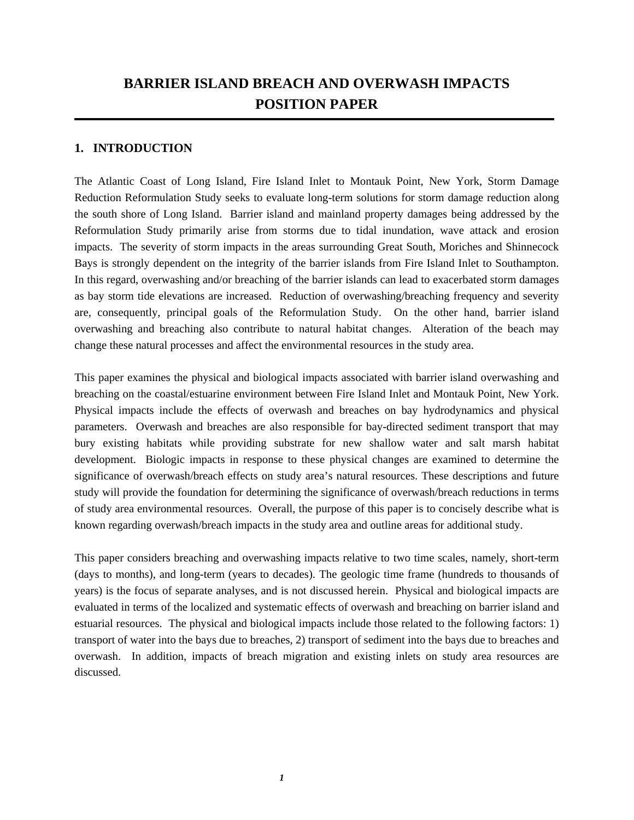# **BARRIER ISLAND BREACH AND OVERWASH IMPACTS POSITION PAPER**

#### **1. INTRODUCTION**

The Atlantic Coast of Long Island, Fire Island Inlet to Montauk Point, New York, Storm Damage Reduction Reformulation Study seeks to evaluate long-term solutions for storm damage reduction along the south shore of Long Island. Barrier island and mainland property damages being addressed by the Reformulation Study primarily arise from storms due to tidal inundation, wave attack and erosion impacts. The severity of storm impacts in the areas surrounding Great South, Moriches and Shinnecock Bays is strongly dependent on the integrity of the barrier islands from Fire Island Inlet to Southampton. In this regard, overwashing and/or breaching of the barrier islands can lead to exacerbated storm damages as bay storm tide elevations are increased. Reduction of overwashing/breaching frequency and severity are, consequently, principal goals of the Reformulation Study. On the other hand, barrier island overwashing and breaching also contribute to natural habitat changes. Alteration of the beach may change these natural processes and affect the environmental resources in the study area.

This paper examines the physical and biological impacts associated with barrier island overwashing and breaching on the coastal/estuarine environment between Fire Island Inlet and Montauk Point, New York. Physical impacts include the effects of overwash and breaches on bay hydrodynamics and physical parameters. Overwash and breaches are also responsible for bay-directed sediment transport that may bury existing habitats while providing substrate for new shallow water and salt marsh habitat development. Biologic impacts in response to these physical changes are examined to determine the significance of overwash/breach effects on study area's natural resources. These descriptions and future study will provide the foundation for determining the significance of overwash/breach reductions in terms of study area environmental resources. Overall, the purpose of this paper is to concisely describe what is known regarding overwash/breach impacts in the study area and outline areas for additional study.

This paper considers breaching and overwashing impacts relative to two time scales, namely, short-term (days to months), and long-term (years to decades). The geologic time frame (hundreds to thousands of years) is the focus of separate analyses, and is not discussed herein. Physical and biological impacts are evaluated in terms of the localized and systematic effects of overwash and breaching on barrier island and estuarial resources. The physical and biological impacts include those related to the following factors: 1) transport of water into the bays due to breaches, 2) transport of sediment into the bays due to breaches and overwash. In addition, impacts of breach migration and existing inlets on study area resources are discussed.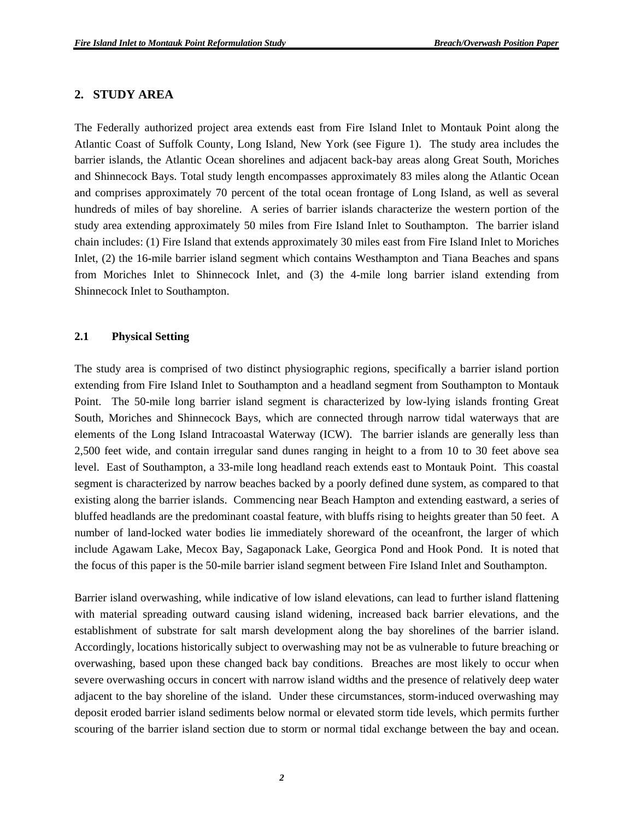#### **2. STUDY AREA**

The Federally authorized project area extends east from Fire Island Inlet to Montauk Point along the Atlantic Coast of Suffolk County, Long Island, New York (see Figure 1). The study area includes the barrier islands, the Atlantic Ocean shorelines and adjacent back-bay areas along Great South, Moriches and Shinnecock Bays. Total study length encompasses approximately 83 miles along the Atlantic Ocean and comprises approximately 70 percent of the total ocean frontage of Long Island, as well as several hundreds of miles of bay shoreline. A series of barrier islands characterize the western portion of the study area extending approximately 50 miles from Fire Island Inlet to Southampton. The barrier island chain includes: (1) Fire Island that extends approximately 30 miles east from Fire Island Inlet to Moriches Inlet, (2) the 16-mile barrier island segment which contains Westhampton and Tiana Beaches and spans from Moriches Inlet to Shinnecock Inlet, and (3) the 4-mile long barrier island extending from Shinnecock Inlet to Southampton.

#### **2.1 Physical Setting**

The study area is comprised of two distinct physiographic regions, specifically a barrier island portion extending from Fire Island Inlet to Southampton and a headland segment from Southampton to Montauk Point. The 50-mile long barrier island segment is characterized by low-lying islands fronting Great South, Moriches and Shinnecock Bays, which are connected through narrow tidal waterways that are elements of the Long Island Intracoastal Waterway (ICW). The barrier islands are generally less than 2,500 feet wide, and contain irregular sand dunes ranging in height to a from 10 to 30 feet above sea level. East of Southampton, a 33-mile long headland reach extends east to Montauk Point. This coastal segment is characterized by narrow beaches backed by a poorly defined dune system, as compared to that existing along the barrier islands. Commencing near Beach Hampton and extending eastward, a series of bluffed headlands are the predominant coastal feature, with bluffs rising to heights greater than 50 feet. A number of land-locked water bodies lie immediately shoreward of the oceanfront, the larger of which include Agawam Lake, Mecox Bay, Sagaponack Lake, Georgica Pond and Hook Pond. It is noted that the focus of this paper is the 50-mile barrier island segment between Fire Island Inlet and Southampton.

Barrier island overwashing, while indicative of low island elevations, can lead to further island flattening with material spreading outward causing island widening, increased back barrier elevations, and the establishment of substrate for salt marsh development along the bay shorelines of the barrier island. Accordingly, locations historically subject to overwashing may not be as vulnerable to future breaching or overwashing, based upon these changed back bay conditions. Breaches are most likely to occur when severe overwashing occurs in concert with narrow island widths and the presence of relatively deep water adjacent to the bay shoreline of the island. Under these circumstances, storm-induced overwashing may deposit eroded barrier island sediments below normal or elevated storm tide levels, which permits further scouring of the barrier island section due to storm or normal tidal exchange between the bay and ocean.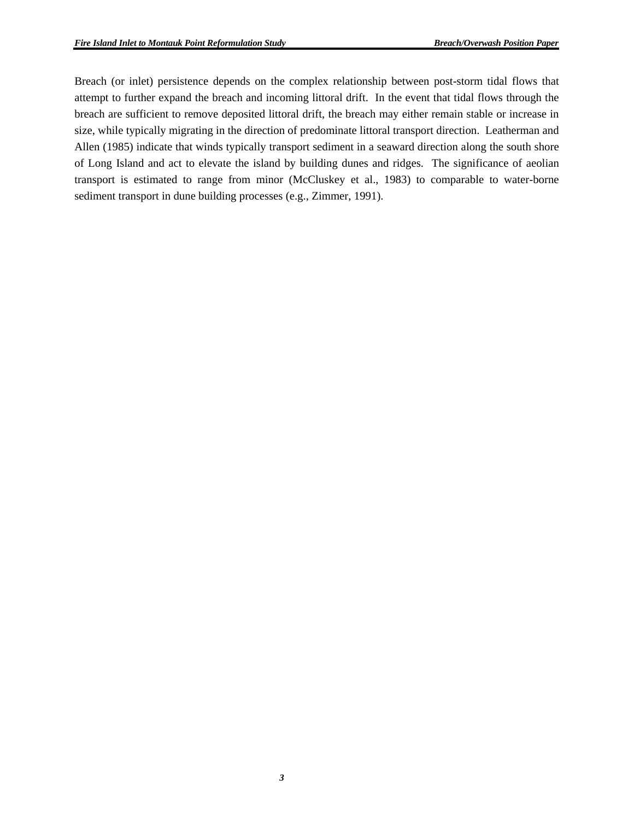Breach (or inlet) persistence depends on the complex relationship between post-storm tidal flows that attempt to further expand the breach and incoming littoral drift. In the event that tidal flows through the breach are sufficient to remove deposited littoral drift, the breach may either remain stable or increase in size, while typically migrating in the direction of predominate littoral transport direction. Leatherman and Allen (1985) indicate that winds typically transport sediment in a seaward direction along the south shore of Long Island and act to elevate the island by building dunes and ridges. The significance of aeolian transport is estimated to range from minor (McCluskey et al., 1983) to comparable to water-borne sediment transport in dune building processes (e.g., Zimmer, 1991).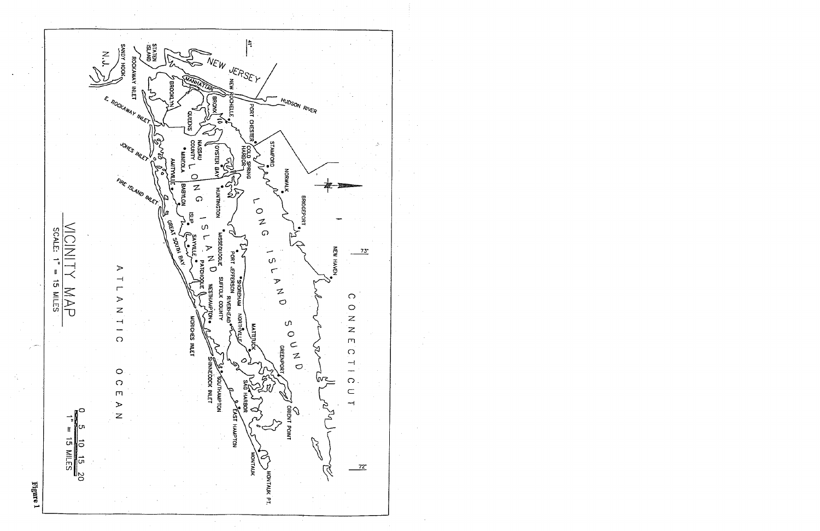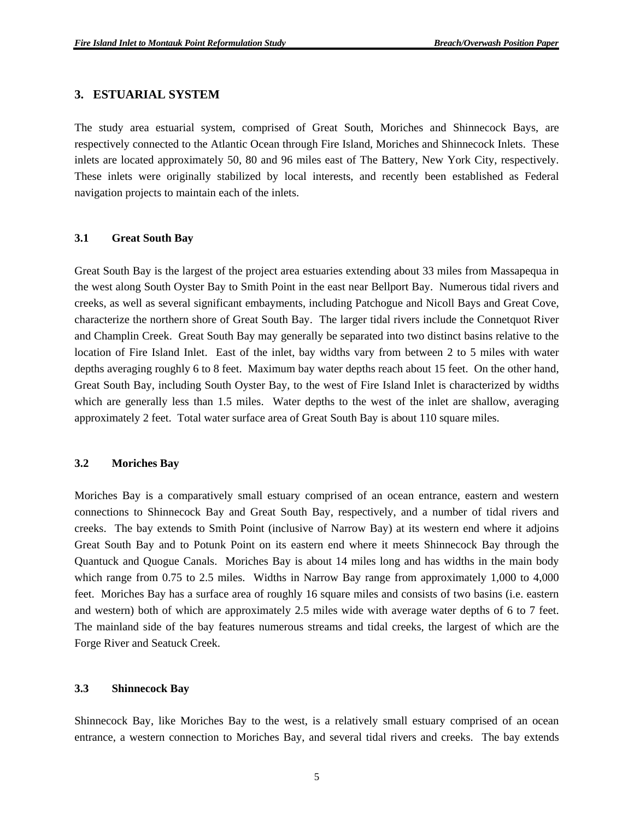#### **3. ESTUARIAL SYSTEM**

The study area estuarial system, comprised of Great South, Moriches and Shinnecock Bays, are respectively connected to the Atlantic Ocean through Fire Island, Moriches and Shinnecock Inlets. These inlets are located approximately 50, 80 and 96 miles east of The Battery, New York City, respectively. These inlets were originally stabilized by local interests, and recently been established as Federal navigation projects to maintain each of the inlets.

#### **3.1 Great South Bay**

Great South Bay is the largest of the project area estuaries extending about 33 miles from Massapequa in the west along South Oyster Bay to Smith Point in the east near Bellport Bay. Numerous tidal rivers and creeks, as well as several significant embayments, including Patchogue and Nicoll Bays and Great Cove, characterize the northern shore of Great South Bay. The larger tidal rivers include the Connetquot River and Champlin Creek. Great South Bay may generally be separated into two distinct basins relative to the location of Fire Island Inlet. East of the inlet, bay widths vary from between 2 to 5 miles with water depths averaging roughly 6 to 8 feet. Maximum bay water depths reach about 15 feet. On the other hand, Great South Bay, including South Oyster Bay, to the west of Fire Island Inlet is characterized by widths which are generally less than 1.5 miles. Water depths to the west of the inlet are shallow, averaging approximately 2 feet. Total water surface area of Great South Bay is about 110 square miles.

#### **3.2 Moriches Bay**

Moriches Bay is a comparatively small estuary comprised of an ocean entrance, eastern and western connections to Shinnecock Bay and Great South Bay, respectively, and a number of tidal rivers and creeks. The bay extends to Smith Point (inclusive of Narrow Bay) at its western end where it adjoins Great South Bay and to Potunk Point on its eastern end where it meets Shinnecock Bay through the Quantuck and Quogue Canals. Moriches Bay is about 14 miles long and has widths in the main body which range from 0.75 to 2.5 miles. Widths in Narrow Bay range from approximately 1,000 to 4,000 feet. Moriches Bay has a surface area of roughly 16 square miles and consists of two basins (i.e. eastern and western) both of which are approximately 2.5 miles wide with average water depths of 6 to 7 feet. The mainland side of the bay features numerous streams and tidal creeks, the largest of which are the Forge River and Seatuck Creek.

#### **3.3 Shinnecock Bay**

Shinnecock Bay, like Moriches Bay to the west, is a relatively small estuary comprised of an ocean entrance, a western connection to Moriches Bay, and several tidal rivers and creeks. The bay extends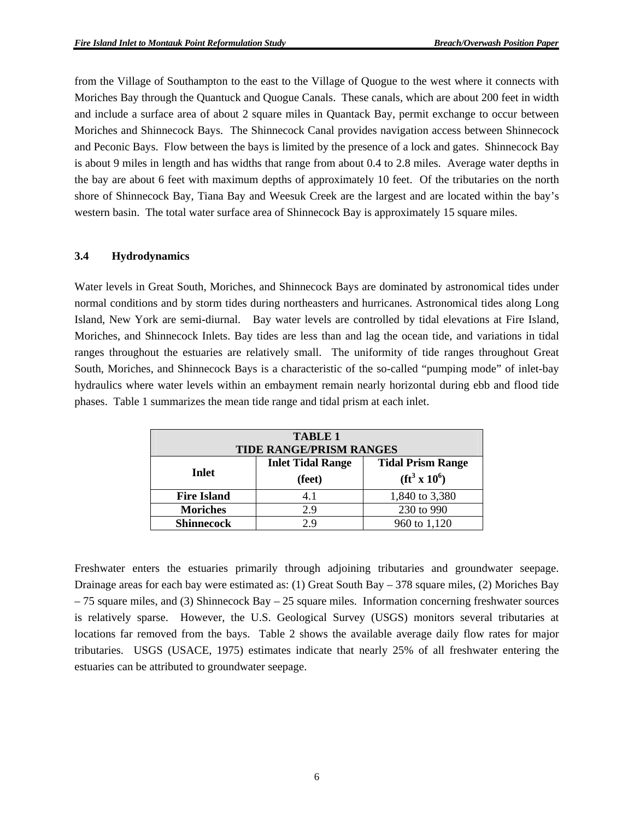from the Village of Southampton to the east to the Village of Quogue to the west where it connects with Moriches Bay through the Quantuck and Quogue Canals. These canals, which are about 200 feet in width and include a surface area of about 2 square miles in Quantack Bay, permit exchange to occur between Moriches and Shinnecock Bays. The Shinnecock Canal provides navigation access between Shinnecock and Peconic Bays. Flow between the bays is limited by the presence of a lock and gates. Shinnecock Bay is about 9 miles in length and has widths that range from about 0.4 to 2.8 miles. Average water depths in the bay are about 6 feet with maximum depths of approximately 10 feet. Of the tributaries on the north shore of Shinnecock Bay, Tiana Bay and Weesuk Creek are the largest and are located within the bay's western basin. The total water surface area of Shinnecock Bay is approximately 15 square miles.

#### **3.4 Hydrodynamics**

Water levels in Great South, Moriches, and Shinnecock Bays are dominated by astronomical tides under normal conditions and by storm tides during northeasters and hurricanes. Astronomical tides along Long Island, New York are semi-diurnal. Bay water levels are controlled by tidal elevations at Fire Island, Moriches, and Shinnecock Inlets. Bay tides are less than and lag the ocean tide, and variations in tidal ranges throughout the estuaries are relatively small. The uniformity of tide ranges throughout Great South, Moriches, and Shinnecock Bays is a characteristic of the so-called "pumping mode" of inlet-bay hydraulics where water levels within an embayment remain nearly horizontal during ebb and flood tide phases. Table 1 summarizes the mean tide range and tidal prism at each inlet.

| <b>TABLE 1</b><br><b>TIDE RANGE/PRISM RANGES</b>                                                      |     |                |  |  |  |
|-------------------------------------------------------------------------------------------------------|-----|----------------|--|--|--|
| <b>Inlet Tidal Range</b><br><b>Tidal Prism Range</b><br>Inlet<br>$({\rm ft}^3 \times 10^6)$<br>(feet) |     |                |  |  |  |
| <b>Fire Island</b>                                                                                    | 4.1 | 1,840 to 3,380 |  |  |  |
| <b>Moriches</b>                                                                                       | 2.9 | 230 to 990     |  |  |  |
| <b>Shinnecock</b>                                                                                     | 29  | 960 to 1,120   |  |  |  |

Freshwater enters the estuaries primarily through adjoining tributaries and groundwater seepage. Drainage areas for each bay were estimated as: (1) Great South Bay – 378 square miles, (2) Moriches Bay – 75 square miles, and (3) Shinnecock Bay – 25 square miles. Information concerning freshwater sources is relatively sparse. However, the U.S. Geological Survey (USGS) monitors several tributaries at locations far removed from the bays. Table 2 shows the available average daily flow rates for major tributaries. USGS (USACE, 1975) estimates indicate that nearly 25% of all freshwater entering the estuaries can be attributed to groundwater seepage.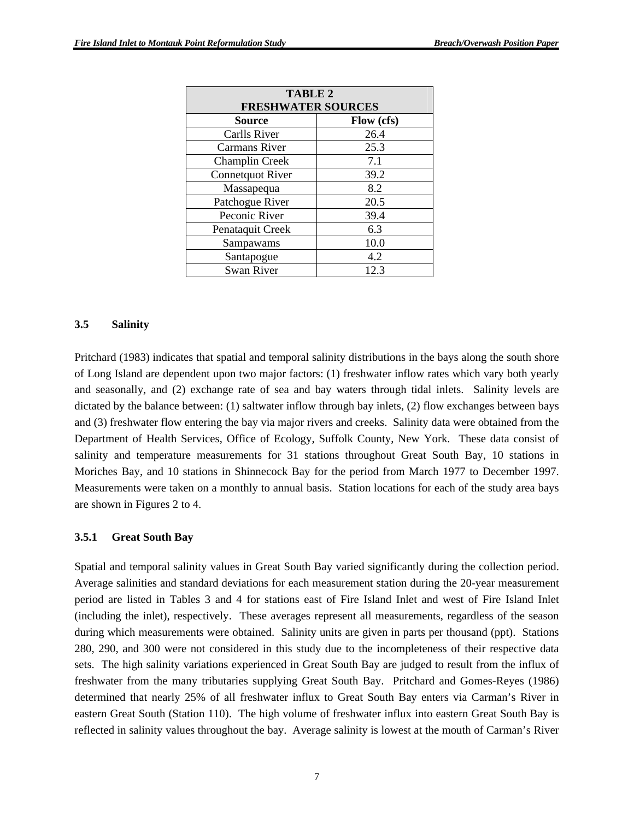| TABLE 2<br><b>FRESHWATER SOURCES</b> |      |  |  |  |
|--------------------------------------|------|--|--|--|
| <b>Source</b><br>Flow (cfs)          |      |  |  |  |
| <b>Carlls River</b>                  | 26.4 |  |  |  |
| <b>Carmans River</b>                 | 25.3 |  |  |  |
| Champlin Creek                       | 7.1  |  |  |  |
| <b>Connetquot River</b>              | 39.2 |  |  |  |
| Massapequa                           | 8.2  |  |  |  |
| Patchogue River                      | 20.5 |  |  |  |
| Peconic River                        | 39.4 |  |  |  |
| Penataquit Creek                     | 6.3  |  |  |  |
| Sampawams                            | 10.0 |  |  |  |
| Santapogue                           | 4.2  |  |  |  |
| <b>Swan River</b>                    | 12.3 |  |  |  |

#### **3.5 Salinity**

Pritchard (1983) indicates that spatial and temporal salinity distributions in the bays along the south shore of Long Island are dependent upon two major factors: (1) freshwater inflow rates which vary both yearly and seasonally, and (2) exchange rate of sea and bay waters through tidal inlets. Salinity levels are dictated by the balance between: (1) saltwater inflow through bay inlets, (2) flow exchanges between bays and (3) freshwater flow entering the bay via major rivers and creeks. Salinity data were obtained from the Department of Health Services, Office of Ecology, Suffolk County, New York. These data consist of salinity and temperature measurements for 31 stations throughout Great South Bay, 10 stations in Moriches Bay, and 10 stations in Shinnecock Bay for the period from March 1977 to December 1997. Measurements were taken on a monthly to annual basis. Station locations for each of the study area bays are shown in Figures 2 to 4.

#### **3.5.1 Great South Bay**

Spatial and temporal salinity values in Great South Bay varied significantly during the collection period. Average salinities and standard deviations for each measurement station during the 20-year measurement period are listed in Tables 3 and 4 for stations east of Fire Island Inlet and west of Fire Island Inlet (including the inlet), respectively. These averages represent all measurements, regardless of the season during which measurements were obtained. Salinity units are given in parts per thousand (ppt). Stations 280, 290, and 300 were not considered in this study due to the incompleteness of their respective data sets. The high salinity variations experienced in Great South Bay are judged to result from the influx of freshwater from the many tributaries supplying Great South Bay. Pritchard and Gomes-Reyes (1986) determined that nearly 25% of all freshwater influx to Great South Bay enters via Carman's River in eastern Great South (Station 110). The high volume of freshwater influx into eastern Great South Bay is reflected in salinity values throughout the bay. Average salinity is lowest at the mouth of Carman's River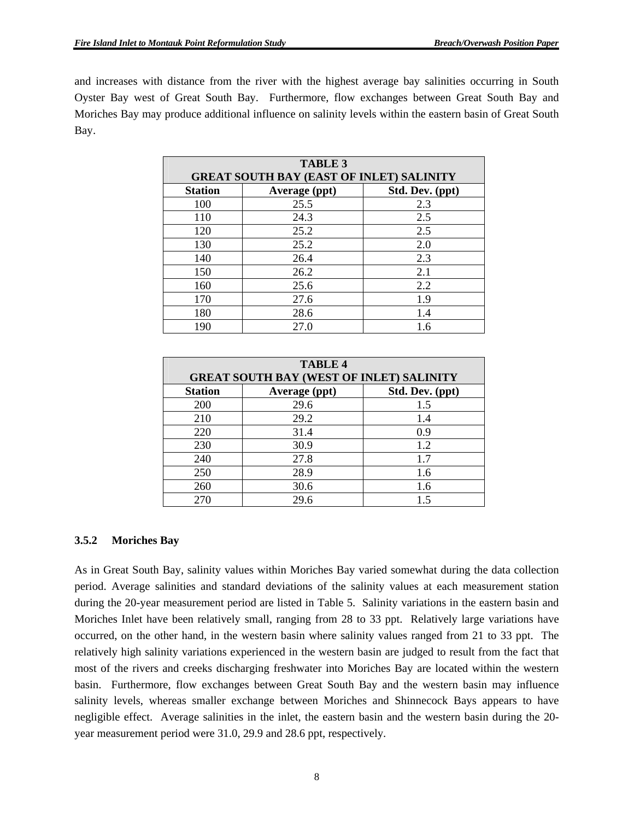and increases with distance from the river with the highest average bay salinities occurring in South Oyster Bay west of Great South Bay. Furthermore, flow exchanges between Great South Bay and Moriches Bay may produce additional influence on salinity levels within the eastern basin of Great South Bay.

| <b>TABLE 3</b><br><b>GREAT SOUTH BAY (EAST OF INLET) SALINITY</b> |      |     |  |  |  |  |
|-------------------------------------------------------------------|------|-----|--|--|--|--|
| Std. Dev. (ppt)<br><b>Station</b><br>Average (ppt)                |      |     |  |  |  |  |
| 100                                                               | 25.5 | 2.3 |  |  |  |  |
| 110                                                               | 24.3 | 2.5 |  |  |  |  |
| 120                                                               | 25.2 | 2.5 |  |  |  |  |
| 130                                                               | 25.2 | 2.0 |  |  |  |  |
| 140                                                               | 26.4 | 2.3 |  |  |  |  |
| 150                                                               | 26.2 | 2.1 |  |  |  |  |
| 160                                                               | 25.6 | 2.2 |  |  |  |  |
| 170                                                               | 27.6 | 1.9 |  |  |  |  |
| 180                                                               | 28.6 | 1.4 |  |  |  |  |
| 27.0<br>1.6<br>190                                                |      |     |  |  |  |  |

| <b>TABLE 4</b>                                     |                                                 |     |  |  |  |  |  |
|----------------------------------------------------|-------------------------------------------------|-----|--|--|--|--|--|
|                                                    | <b>GREAT SOUTH BAY (WEST OF INLET) SALINITY</b> |     |  |  |  |  |  |
| Std. Dev. (ppt)<br><b>Station</b><br>Average (ppt) |                                                 |     |  |  |  |  |  |
| 200                                                | 29.6                                            | 1.5 |  |  |  |  |  |
| 210                                                | 29.2                                            | 1.4 |  |  |  |  |  |
| 220                                                | 31.4                                            | 0.9 |  |  |  |  |  |
| 230                                                | 30.9                                            | 12  |  |  |  |  |  |
| 240                                                | 27.8                                            | 1.7 |  |  |  |  |  |
| 250                                                | 28.9                                            | 1.6 |  |  |  |  |  |
| 260                                                | 30.6                                            | 1.6 |  |  |  |  |  |
| 270                                                | 29.6                                            |     |  |  |  |  |  |

#### **3.5.2 Moriches Bay**

As in Great South Bay, salinity values within Moriches Bay varied somewhat during the data collection period. Average salinities and standard deviations of the salinity values at each measurement station during the 20-year measurement period are listed in Table 5. Salinity variations in the eastern basin and Moriches Inlet have been relatively small, ranging from 28 to 33 ppt. Relatively large variations have occurred, on the other hand, in the western basin where salinity values ranged from 21 to 33 ppt. The relatively high salinity variations experienced in the western basin are judged to result from the fact that most of the rivers and creeks discharging freshwater into Moriches Bay are located within the western basin. Furthermore, flow exchanges between Great South Bay and the western basin may influence salinity levels, whereas smaller exchange between Moriches and Shinnecock Bays appears to have negligible effect. Average salinities in the inlet, the eastern basin and the western basin during the 20 year measurement period were 31.0, 29.9 and 28.6 ppt, respectively.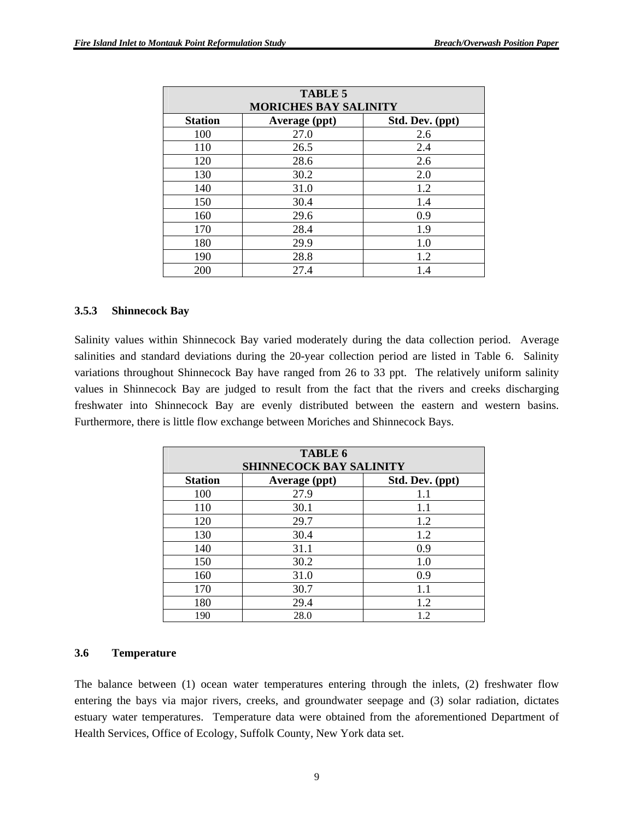| <b>TABLE 5</b>                                     |                              |     |  |  |  |  |
|----------------------------------------------------|------------------------------|-----|--|--|--|--|
|                                                    | <b>MORICHES BAY SALINITY</b> |     |  |  |  |  |
| <b>Station</b><br>Std. Dev. (ppt)<br>Average (ppt) |                              |     |  |  |  |  |
| 100                                                | 27.0                         | 2.6 |  |  |  |  |
| 110                                                | 26.5                         | 2.4 |  |  |  |  |
| 120                                                | 28.6                         | 2.6 |  |  |  |  |
| 130                                                | 30.2                         | 2.0 |  |  |  |  |
| 140                                                | 31.0                         | 1.2 |  |  |  |  |
| 150                                                | 30.4                         | 1.4 |  |  |  |  |
| 160                                                | 29.6                         | 0.9 |  |  |  |  |
| 170                                                | 28.4                         | 1.9 |  |  |  |  |
| 180                                                | 29.9                         | 1.0 |  |  |  |  |
| 190                                                | 28.8                         | 1.2 |  |  |  |  |
| 200                                                | 27.4                         | 1.4 |  |  |  |  |

#### **3.5.3 Shinnecock Bay**

Salinity values within Shinnecock Bay varied moderately during the data collection period. Average salinities and standard deviations during the 20-year collection period are listed in Table 6. Salinity variations throughout Shinnecock Bay have ranged from 26 to 33 ppt. The relatively uniform salinity values in Shinnecock Bay are judged to result from the fact that the rivers and creeks discharging freshwater into Shinnecock Bay are evenly distributed between the eastern and western basins. Furthermore, there is little flow exchange between Moriches and Shinnecock Bays.

| <b>TABLE 6</b><br><b>SHINNECOCK BAY SALINITY</b>   |      |     |  |  |  |  |  |
|----------------------------------------------------|------|-----|--|--|--|--|--|
| <b>Station</b><br>Std. Dev. (ppt)<br>Average (ppt) |      |     |  |  |  |  |  |
| 100                                                | 27.9 | 1.1 |  |  |  |  |  |
| 110                                                | 30.1 | 1.1 |  |  |  |  |  |
| 120                                                | 29.7 | 1.2 |  |  |  |  |  |
| 130                                                | 30.4 | 1.2 |  |  |  |  |  |
| 140                                                | 31.1 | 0.9 |  |  |  |  |  |
| 150                                                | 30.2 | 1.0 |  |  |  |  |  |
| 160                                                | 31.0 | 0.9 |  |  |  |  |  |
| 170                                                | 30.7 | 1.1 |  |  |  |  |  |
| 180                                                | 29.4 | 1.2 |  |  |  |  |  |
| 190                                                | 28.0 | 1.2 |  |  |  |  |  |

#### **3.6 Temperature**

The balance between (1) ocean water temperatures entering through the inlets, (2) freshwater flow entering the bays via major rivers, creeks, and groundwater seepage and (3) solar radiation, dictates estuary water temperatures. Temperature data were obtained from the aforementioned Department of Health Services, Office of Ecology, Suffolk County, New York data set.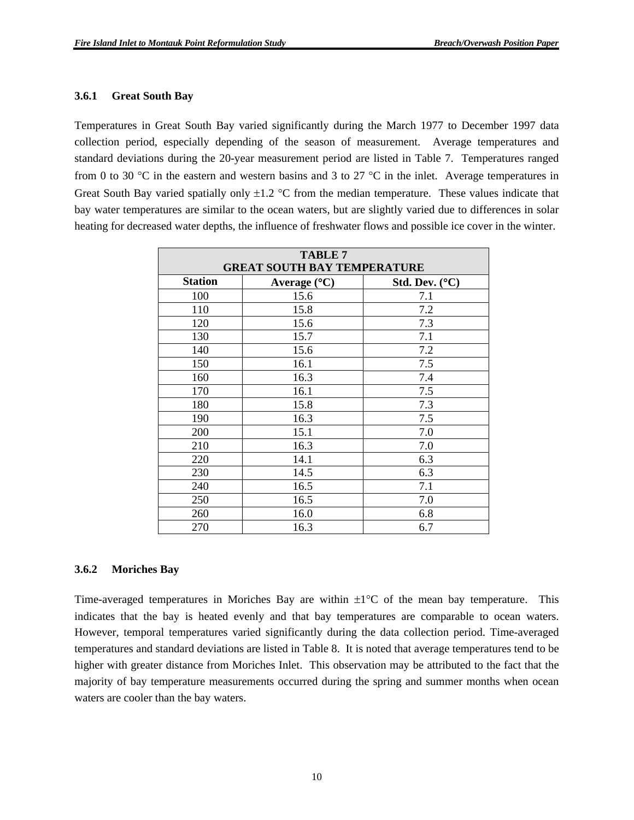#### **3.6.1 Great South Bay**

Temperatures in Great South Bay varied significantly during the March 1977 to December 1997 data collection period, especially depending of the season of measurement. Average temperatures and standard deviations during the 20-year measurement period are listed in Table 7. Temperatures ranged from 0 to 30  $\degree$ C in the eastern and western basins and 3 to 27  $\degree$ C in the inlet. Average temperatures in Great South Bay varied spatially only  $\pm 1.2$  °C from the median temperature. These values indicate that bay water temperatures are similar to the ocean waters, but are slightly varied due to differences in solar heating for decreased water depths, the influence of freshwater flows and possible ice cover in the winter.

| <b>TABLE 7</b><br><b>GREAT SOUTH BAY TEMPERATURE</b> |      |     |  |  |  |  |  |
|------------------------------------------------------|------|-----|--|--|--|--|--|
| <b>Station</b><br>Average (°C)<br>Std. Dev. $(C)$    |      |     |  |  |  |  |  |
| 100                                                  | 15.6 | 7.1 |  |  |  |  |  |
| 110                                                  | 15.8 | 7.2 |  |  |  |  |  |
| 120                                                  | 15.6 | 7.3 |  |  |  |  |  |
| 130                                                  | 15.7 | 7.1 |  |  |  |  |  |
| 140                                                  | 15.6 | 7.2 |  |  |  |  |  |
| 150                                                  | 16.1 | 7.5 |  |  |  |  |  |
| 160                                                  | 16.3 | 7.4 |  |  |  |  |  |
| 170                                                  | 16.1 | 7.5 |  |  |  |  |  |
| 180                                                  | 15.8 | 7.3 |  |  |  |  |  |
| 190                                                  | 16.3 | 7.5 |  |  |  |  |  |
| 200                                                  | 15.1 | 7.0 |  |  |  |  |  |
| 210                                                  | 16.3 | 7.0 |  |  |  |  |  |
| 220                                                  | 14.1 | 6.3 |  |  |  |  |  |
| 230                                                  | 14.5 | 6.3 |  |  |  |  |  |
| 240                                                  | 16.5 | 7.1 |  |  |  |  |  |
| 250                                                  | 16.5 | 7.0 |  |  |  |  |  |
| 260                                                  | 16.0 | 6.8 |  |  |  |  |  |
| 270                                                  | 6.7  |     |  |  |  |  |  |

#### **3.6.2 Moriches Bay**

Time-averaged temperatures in Moriches Bay are within  $\pm 1^{\circ}C$  of the mean bay temperature. This indicates that the bay is heated evenly and that bay temperatures are comparable to ocean waters. However, temporal temperatures varied significantly during the data collection period. Time-averaged temperatures and standard deviations are listed in Table 8. It is noted that average temperatures tend to be higher with greater distance from Moriches Inlet. This observation may be attributed to the fact that the majority of bay temperature measurements occurred during the spring and summer months when ocean waters are cooler than the bay waters.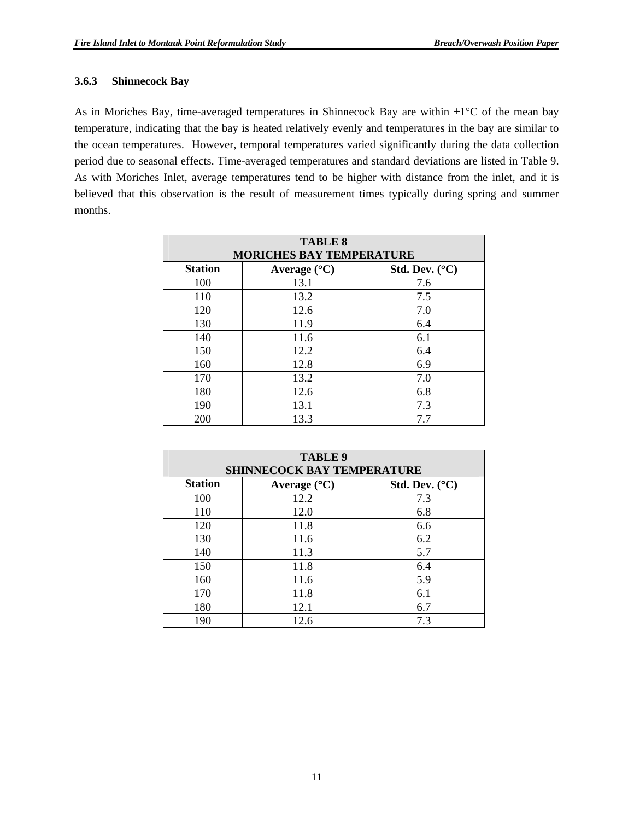#### **3.6.3 Shinnecock Bay**

As in Moriches Bay, time-averaged temperatures in Shinnecock Bay are within  $\pm 1^{\circ}C$  of the mean bay temperature, indicating that the bay is heated relatively evenly and temperatures in the bay are similar to the ocean temperatures. However, temporal temperatures varied significantly during the data collection period due to seasonal effects. Time-averaged temperatures and standard deviations are listed in Table 9. As with Moriches Inlet, average temperatures tend to be higher with distance from the inlet, and it is believed that this observation is the result of measurement times typically during spring and summer months.

| <b>TABLE 8</b><br><b>MORICHES BAY TEMPERATURE</b>                  |      |     |  |  |  |  |
|--------------------------------------------------------------------|------|-----|--|--|--|--|
| <b>Station</b><br>Std. Dev. $(^{\circ}C)$<br>Average $(^{\circ}C)$ |      |     |  |  |  |  |
| 100                                                                | 13.1 | 7.6 |  |  |  |  |
| 110                                                                | 13.2 | 7.5 |  |  |  |  |
| 120                                                                | 12.6 | 7.0 |  |  |  |  |
| 130                                                                | 11.9 | 6.4 |  |  |  |  |
| 140                                                                | 11.6 | 6.1 |  |  |  |  |
| 150                                                                | 12.2 | 6.4 |  |  |  |  |
| 160                                                                | 12.8 | 6.9 |  |  |  |  |
| 170                                                                | 13.2 | 7.0 |  |  |  |  |
| 180                                                                | 12.6 | 6.8 |  |  |  |  |
| 190                                                                | 13.1 | 7.3 |  |  |  |  |
| 200                                                                | 13.3 | 7.7 |  |  |  |  |

| <b>TABLE 9</b><br><b>SHINNECOCK BAY TEMPERATURE</b>                |      |     |  |  |  |  |  |
|--------------------------------------------------------------------|------|-----|--|--|--|--|--|
| <b>Station</b><br>Std. Dev. $(^{\circ}C)$<br>Average $(^{\circ}C)$ |      |     |  |  |  |  |  |
| 100                                                                | 12.2 | 7.3 |  |  |  |  |  |
| 110                                                                | 12.0 | 6.8 |  |  |  |  |  |
| 120                                                                | 11.8 | 6.6 |  |  |  |  |  |
| 130                                                                | 11.6 | 6.2 |  |  |  |  |  |
| 140                                                                | 11.3 | 5.7 |  |  |  |  |  |
| 150                                                                | 11.8 | 6.4 |  |  |  |  |  |
| 160                                                                | 11.6 | 5.9 |  |  |  |  |  |
| 170                                                                | 11.8 | 6.1 |  |  |  |  |  |
| 180                                                                | 12.1 | 6.7 |  |  |  |  |  |
| 190                                                                | 12.6 | 7.3 |  |  |  |  |  |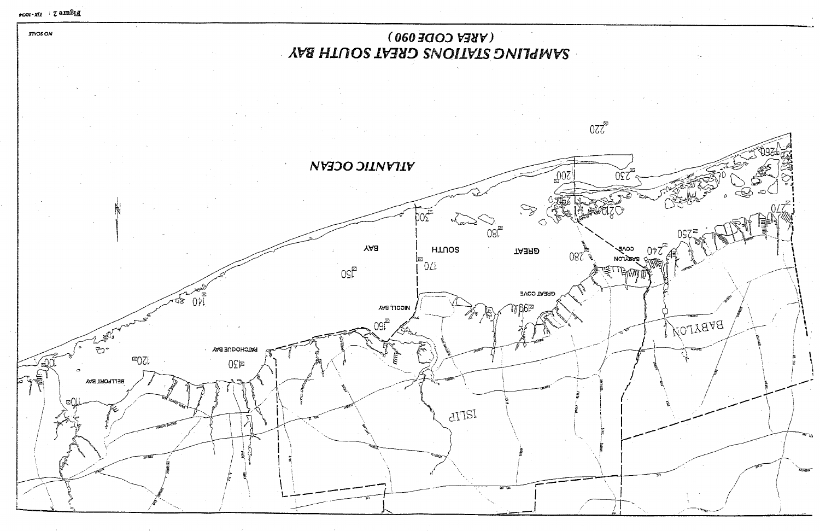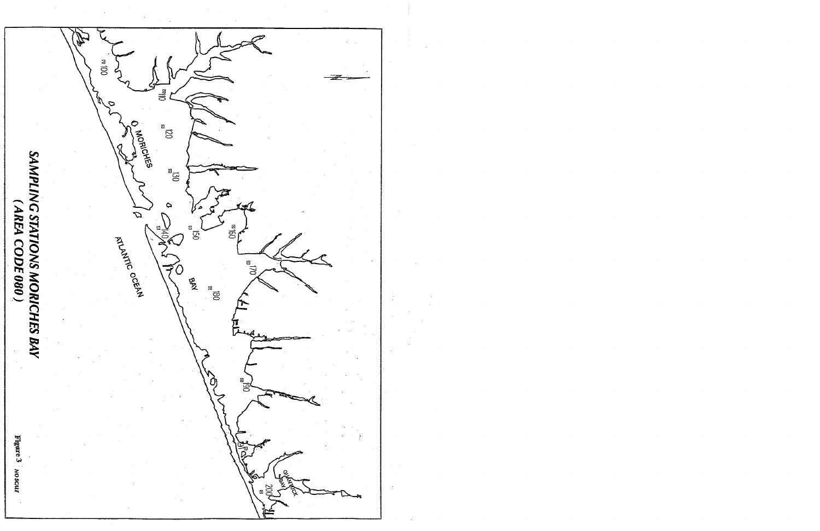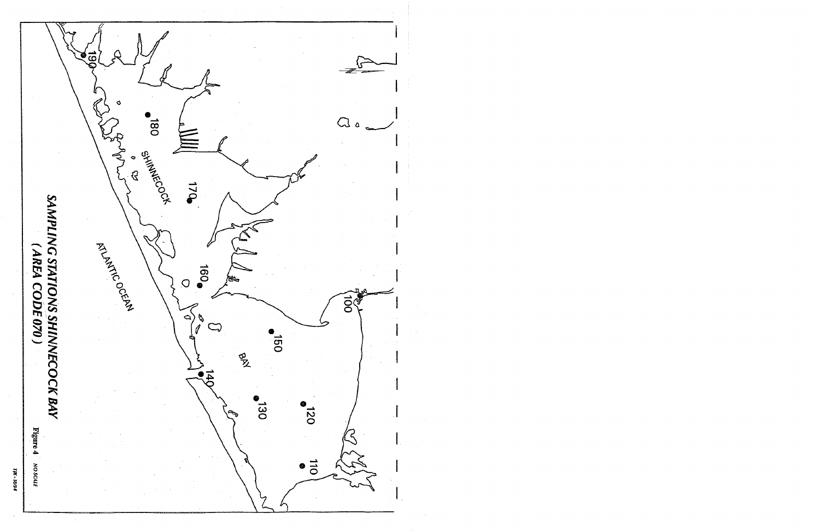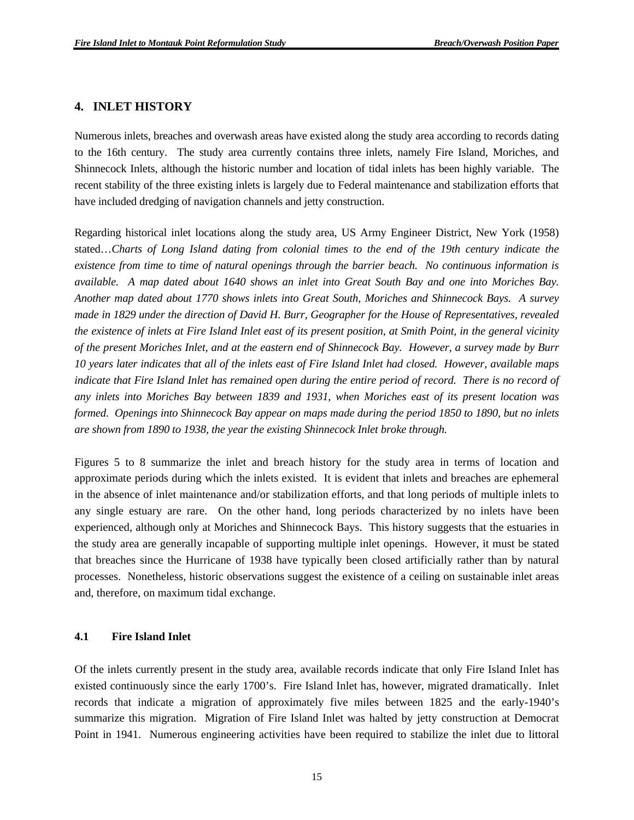#### **4. INLET HISTORY**

Numerous inlets, breaches and overwash areas have existed along the study area according to records dating to the 16th century. The study area currently contains three inlets, namely Fire Island, Moriches, and Shinnecock Inlets, although the historic number and location of tidal inlets has been highly variable. The recent stability of the three existing inlets is largely due to Federal maintenance and stabilization efforts that have included dredging of navigation channels and jetty construction.

Regarding historical inlet locations along the study area, US Army Engineer District, New York (1958) stated…*Charts of Long Island dating from colonial times to the end of the 19th century indicate the existence from time to time of natural openings through the barrier beach. No continuous information is available. A map dated about 1640 shows an inlet into Great South Bay and one into Moriches Bay. Another map dated about 1770 shows inlets into Great South, Moriches and Shinnecock Bays. A survey made in 1829 under the direction of David H. Burr, Geographer for the House of Representatives, revealed the existence of inlets at Fire Island Inlet east of its present position, at Smith Point, in the general vicinity of the present Moriches Inlet, and at the eastern end of Shinnecock Bay. However, a survey made by Burr 10 years later indicates that all of the inlets east of Fire Island Inlet had closed. However, available maps indicate that Fire Island Inlet has remained open during the entire period of record. There is no record of any inlets into Moriches Bay between 1839 and 1931, when Moriches east of its present location was formed. Openings into Shinnecock Bay appear on maps made during the period 1850 to 1890, but no inlets are shown from 1890 to 1938, the year the existing Shinnecock Inlet broke through.*

Figures 5 to 8 summarize the inlet and breach history for the study area in terms of location and approximate periods during which the inlets existed. It is evident that inlets and breaches are ephemeral in the absence of inlet maintenance and/or stabilization efforts, and that long periods of multiple inlets to any single estuary are rare. On the other hand, long periods characterized by no inlets have been experienced, although only at Moriches and Shinnecock Bays. This history suggests that the estuaries in the study area are generally incapable of supporting multiple inlet openings. However, it must be stated that breaches since the Hurricane of 1938 have typically been closed artificially rather than by natural processes. Nonetheless, historic observations suggest the existence of a ceiling on sustainable inlet areas and, therefore, on maximum tidal exchange.

#### **4.1 Fire Island Inlet**

Of the inlets currently present in the study area, available records indicate that only Fire Island Inlet has existed continuously since the early 1700's. Fire Island Inlet has, however, migrated dramatically. Inlet records that indicate a migration of approximately five miles between 1825 and the early-1940's summarize this migration. Migration of Fire Island Inlet was halted by jetty construction at Democrat Point in 1941. Numerous engineering activities have been required to stabilize the inlet due to littoral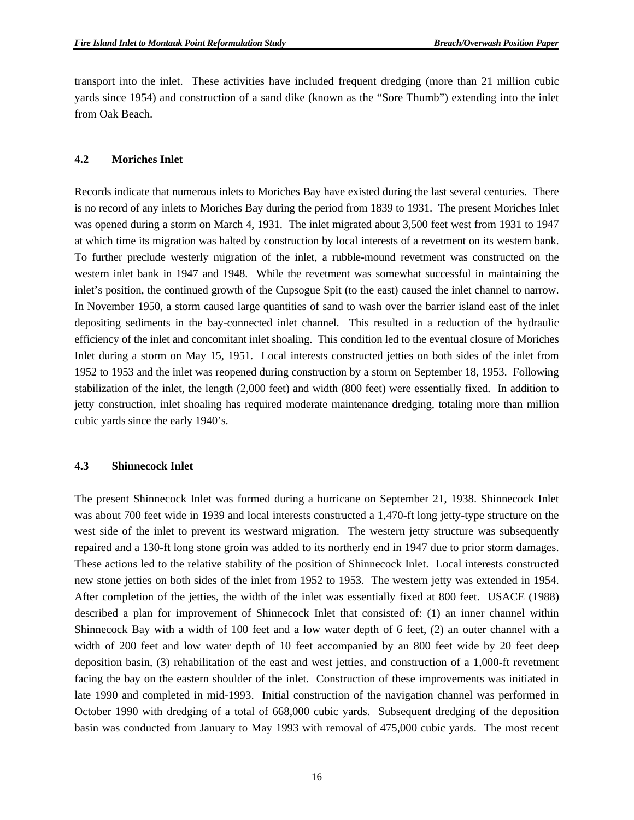transport into the inlet. These activities have included frequent dredging (more than 21 million cubic yards since 1954) and construction of a sand dike (known as the "Sore Thumb") extending into the inlet from Oak Beach.

#### **4.2 Moriches Inlet**

Records indicate that numerous inlets to Moriches Bay have existed during the last several centuries. There is no record of any inlets to Moriches Bay during the period from 1839 to 1931. The present Moriches Inlet was opened during a storm on March 4, 1931. The inlet migrated about 3,500 feet west from 1931 to 1947 at which time its migration was halted by construction by local interests of a revetment on its western bank. To further preclude westerly migration of the inlet, a rubble-mound revetment was constructed on the western inlet bank in 1947 and 1948. While the revetment was somewhat successful in maintaining the inlet's position, the continued growth of the Cupsogue Spit (to the east) caused the inlet channel to narrow. In November 1950, a storm caused large quantities of sand to wash over the barrier island east of the inlet depositing sediments in the bay-connected inlet channel. This resulted in a reduction of the hydraulic efficiency of the inlet and concomitant inlet shoaling. This condition led to the eventual closure of Moriches Inlet during a storm on May 15, 1951. Local interests constructed jetties on both sides of the inlet from 1952 to 1953 and the inlet was reopened during construction by a storm on September 18, 1953. Following stabilization of the inlet, the length (2,000 feet) and width (800 feet) were essentially fixed. In addition to jetty construction, inlet shoaling has required moderate maintenance dredging, totaling more than million cubic yards since the early 1940's.

#### **4.3 Shinnecock Inlet**

The present Shinnecock Inlet was formed during a hurricane on September 21, 1938. Shinnecock Inlet was about 700 feet wide in 1939 and local interests constructed a 1,470-ft long jetty-type structure on the west side of the inlet to prevent its westward migration. The western jetty structure was subsequently repaired and a 130-ft long stone groin was added to its northerly end in 1947 due to prior storm damages. These actions led to the relative stability of the position of Shinnecock Inlet. Local interests constructed new stone jetties on both sides of the inlet from 1952 to 1953. The western jetty was extended in 1954. After completion of the jetties, the width of the inlet was essentially fixed at 800 feet. USACE (1988) described a plan for improvement of Shinnecock Inlet that consisted of: (1) an inner channel within Shinnecock Bay with a width of 100 feet and a low water depth of 6 feet, (2) an outer channel with a width of 200 feet and low water depth of 10 feet accompanied by an 800 feet wide by 20 feet deep deposition basin, (3) rehabilitation of the east and west jetties, and construction of a 1,000-ft revetment facing the bay on the eastern shoulder of the inlet. Construction of these improvements was initiated in late 1990 and completed in mid-1993. Initial construction of the navigation channel was performed in October 1990 with dredging of a total of 668,000 cubic yards. Subsequent dredging of the deposition basin was conducted from January to May 1993 with removal of 475,000 cubic yards. The most recent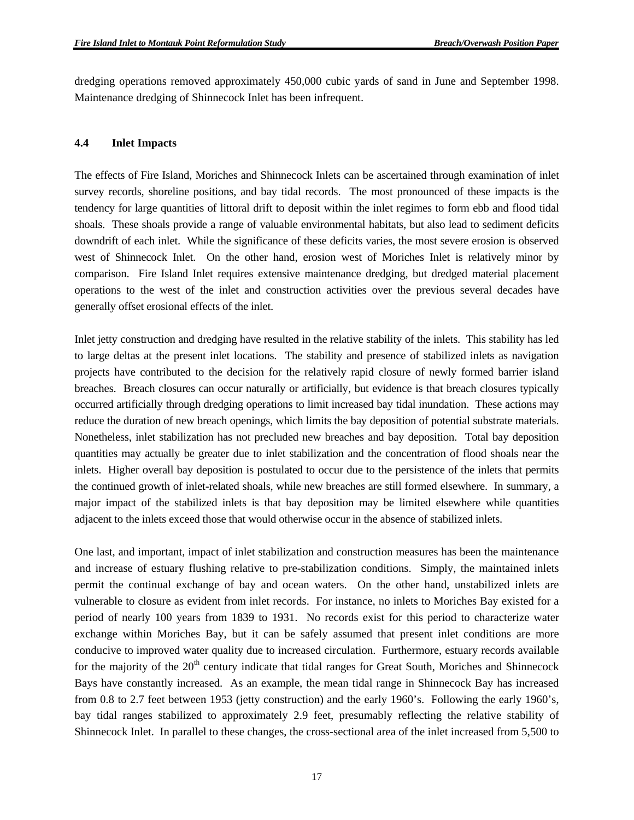dredging operations removed approximately 450,000 cubic yards of sand in June and September 1998. Maintenance dredging of Shinnecock Inlet has been infrequent.

#### **4.4 Inlet Impacts**

The effects of Fire Island, Moriches and Shinnecock Inlets can be ascertained through examination of inlet survey records, shoreline positions, and bay tidal records. The most pronounced of these impacts is the tendency for large quantities of littoral drift to deposit within the inlet regimes to form ebb and flood tidal shoals. These shoals provide a range of valuable environmental habitats, but also lead to sediment deficits downdrift of each inlet. While the significance of these deficits varies, the most severe erosion is observed west of Shinnecock Inlet. On the other hand, erosion west of Moriches Inlet is relatively minor by comparison. Fire Island Inlet requires extensive maintenance dredging, but dredged material placement operations to the west of the inlet and construction activities over the previous several decades have generally offset erosional effects of the inlet.

Inlet jetty construction and dredging have resulted in the relative stability of the inlets. This stability has led to large deltas at the present inlet locations. The stability and presence of stabilized inlets as navigation projects have contributed to the decision for the relatively rapid closure of newly formed barrier island breaches. Breach closures can occur naturally or artificially, but evidence is that breach closures typically occurred artificially through dredging operations to limit increased bay tidal inundation. These actions may reduce the duration of new breach openings, which limits the bay deposition of potential substrate materials. Nonetheless, inlet stabilization has not precluded new breaches and bay deposition. Total bay deposition quantities may actually be greater due to inlet stabilization and the concentration of flood shoals near the inlets. Higher overall bay deposition is postulated to occur due to the persistence of the inlets that permits the continued growth of inlet-related shoals, while new breaches are still formed elsewhere. In summary, a major impact of the stabilized inlets is that bay deposition may be limited elsewhere while quantities adjacent to the inlets exceed those that would otherwise occur in the absence of stabilized inlets.

One last, and important, impact of inlet stabilization and construction measures has been the maintenance and increase of estuary flushing relative to pre-stabilization conditions. Simply, the maintained inlets permit the continual exchange of bay and ocean waters. On the other hand, unstabilized inlets are vulnerable to closure as evident from inlet records. For instance, no inlets to Moriches Bay existed for a period of nearly 100 years from 1839 to 1931. No records exist for this period to characterize water exchange within Moriches Bay, but it can be safely assumed that present inlet conditions are more conducive to improved water quality due to increased circulation. Furthermore, estuary records available for the majority of the  $20<sup>th</sup>$  century indicate that tidal ranges for Great South, Moriches and Shinnecock Bays have constantly increased. As an example, the mean tidal range in Shinnecock Bay has increased from 0.8 to 2.7 feet between 1953 (jetty construction) and the early 1960's. Following the early 1960's, bay tidal ranges stabilized to approximately 2.9 feet, presumably reflecting the relative stability of Shinnecock Inlet. In parallel to these changes, the cross-sectional area of the inlet increased from 5,500 to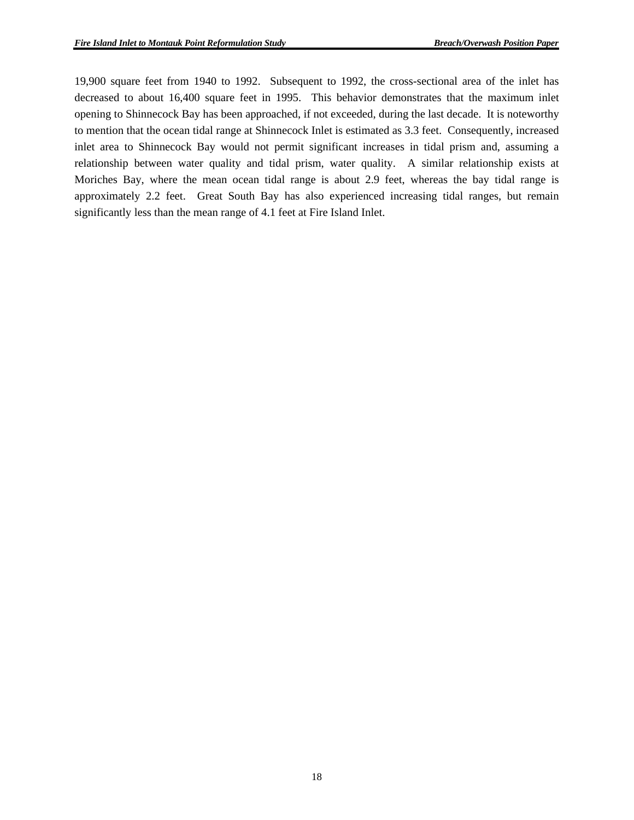19,900 square feet from 1940 to 1992. Subsequent to 1992, the cross-sectional area of the inlet has decreased to about 16,400 square feet in 1995. This behavior demonstrates that the maximum inlet opening to Shinnecock Bay has been approached, if not exceeded, during the last decade. It is noteworthy to mention that the ocean tidal range at Shinnecock Inlet is estimated as 3.3 feet. Consequently, increased inlet area to Shinnecock Bay would not permit significant increases in tidal prism and, assuming a relationship between water quality and tidal prism, water quality. A similar relationship exists at Moriches Bay, where the mean ocean tidal range is about 2.9 feet, whereas the bay tidal range is approximately 2.2 feet. Great South Bay has also experienced increasing tidal ranges, but remain significantly less than the mean range of 4.1 feet at Fire Island Inlet.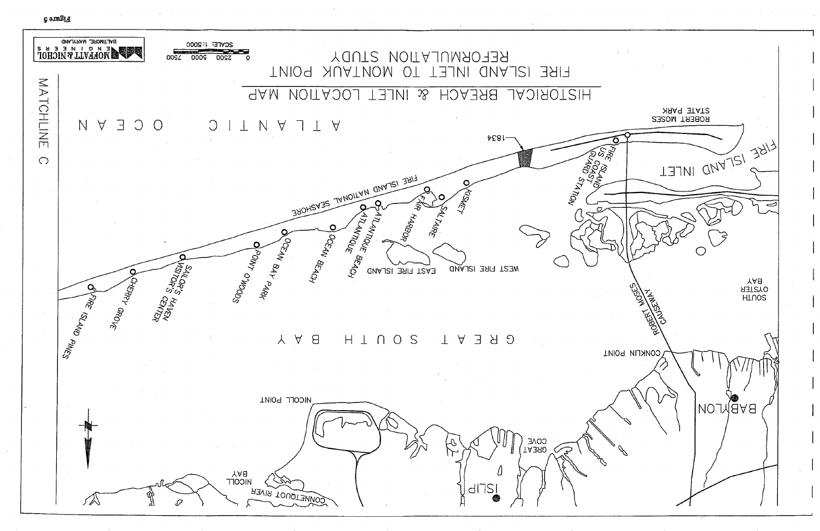**Figure 5** 

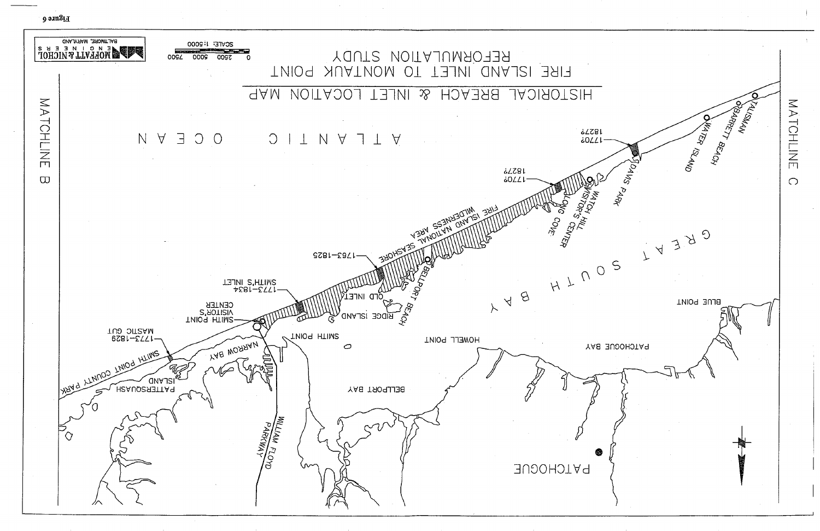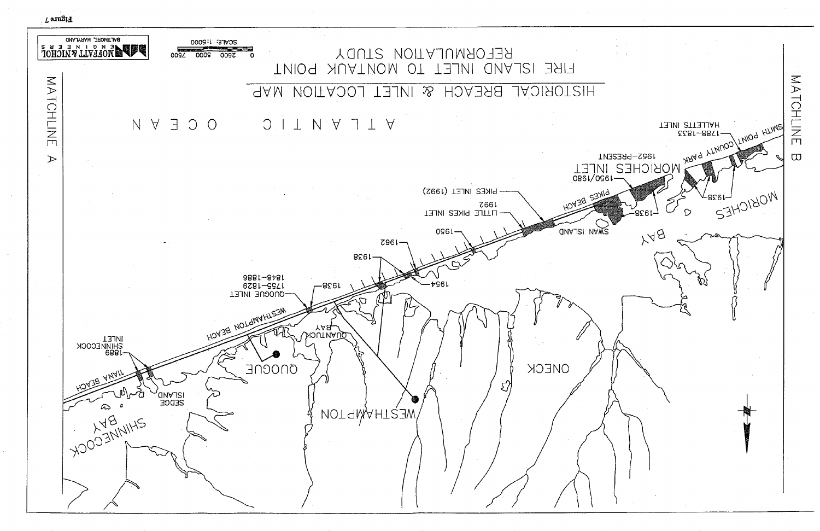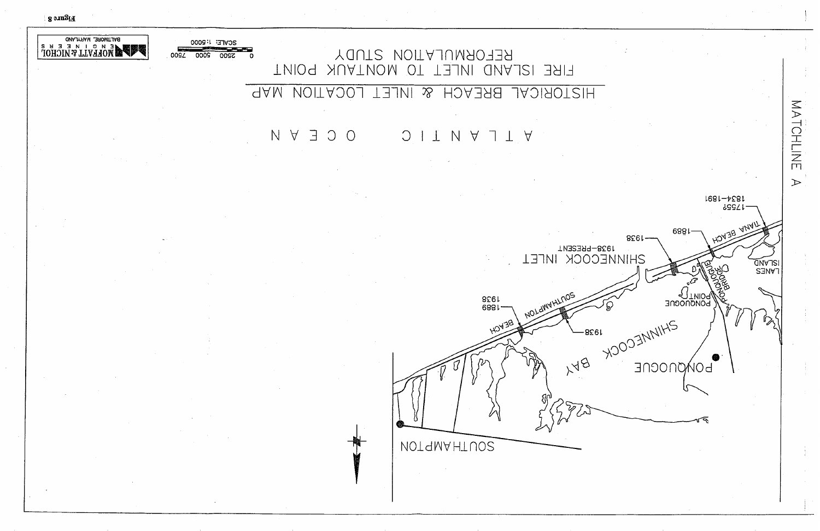$_{\rm H}$ ans $_{\rm H}$ 

# REFORMULATION STUDY FIRE ISLAND INLET TO MONTAUK POINT

#### **AAM VOITAJOJ** & INLET **BREACH** HISTORICAL

#### O C E Y N  $\bigcup$ IN Y 7  $\top$  A

**NOTAMAHTUOS** 

1928  $6881 -$ 

LOWYHLNO

SCALE: 1:5000

**2000** 

 $00<sub>S</sub>$ 

<u> a station de la partida de la partida de la partida de la partida de la partida de la partida de la partida d</u>

**2200** 

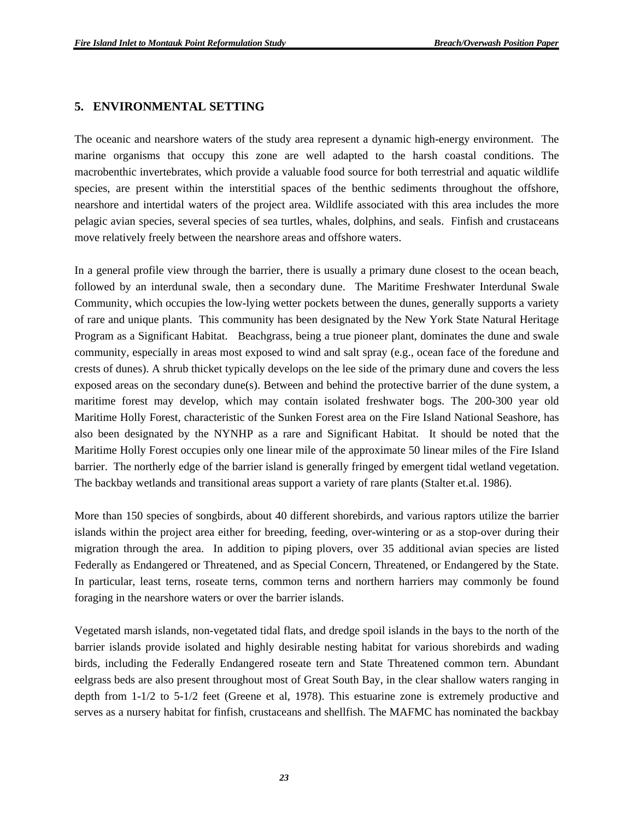#### **5. ENVIRONMENTAL SETTING**

The oceanic and nearshore waters of the study area represent a dynamic high-energy environment. The marine organisms that occupy this zone are well adapted to the harsh coastal conditions. The macrobenthic invertebrates, which provide a valuable food source for both terrestrial and aquatic wildlife species, are present within the interstitial spaces of the benthic sediments throughout the offshore, nearshore and intertidal waters of the project area. Wildlife associated with this area includes the more pelagic avian species, several species of sea turtles, whales, dolphins, and seals. Finfish and crustaceans move relatively freely between the nearshore areas and offshore waters.

In a general profile view through the barrier, there is usually a primary dune closest to the ocean beach, followed by an interdunal swale, then a secondary dune. The Maritime Freshwater Interdunal Swale Community, which occupies the low-lying wetter pockets between the dunes, generally supports a variety of rare and unique plants. This community has been designated by the New York State Natural Heritage Program as a Significant Habitat. Beachgrass, being a true pioneer plant, dominates the dune and swale community, especially in areas most exposed to wind and salt spray (e.g., ocean face of the foredune and crests of dunes). A shrub thicket typically develops on the lee side of the primary dune and covers the less exposed areas on the secondary dune(s). Between and behind the protective barrier of the dune system, a maritime forest may develop, which may contain isolated freshwater bogs. The 200-300 year old Maritime Holly Forest, characteristic of the Sunken Forest area on the Fire Island National Seashore, has also been designated by the NYNHP as a rare and Significant Habitat. It should be noted that the Maritime Holly Forest occupies only one linear mile of the approximate 50 linear miles of the Fire Island barrier. The northerly edge of the barrier island is generally fringed by emergent tidal wetland vegetation. The backbay wetlands and transitional areas support a variety of rare plants (Stalter et.al. 1986).

More than 150 species of songbirds, about 40 different shorebirds, and various raptors utilize the barrier islands within the project area either for breeding, feeding, over-wintering or as a stop-over during their migration through the area. In addition to piping plovers, over 35 additional avian species are listed Federally as Endangered or Threatened, and as Special Concern, Threatened, or Endangered by the State. In particular, least terns, roseate terns, common terns and northern harriers may commonly be found foraging in the nearshore waters or over the barrier islands.

Vegetated marsh islands, non-vegetated tidal flats, and dredge spoil islands in the bays to the north of the barrier islands provide isolated and highly desirable nesting habitat for various shorebirds and wading birds, including the Federally Endangered roseate tern and State Threatened common tern. Abundant eelgrass beds are also present throughout most of Great South Bay, in the clear shallow waters ranging in depth from 1-1/2 to 5-1/2 feet (Greene et al, 1978). This estuarine zone is extremely productive and serves as a nursery habitat for finfish, crustaceans and shellfish. The MAFMC has nominated the backbay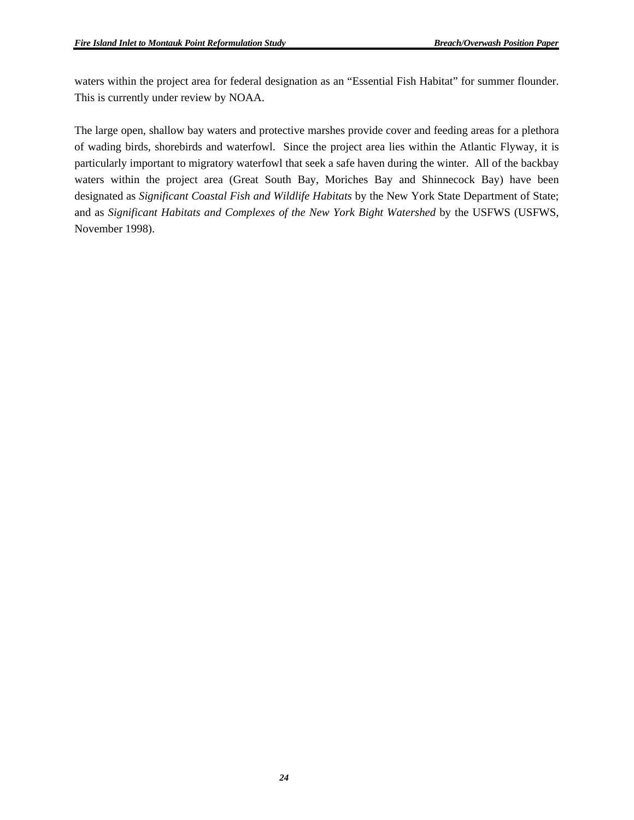waters within the project area for federal designation as an "Essential Fish Habitat" for summer flounder. This is currently under review by NOAA.

The large open, shallow bay waters and protective marshes provide cover and feeding areas for a plethora of wading birds, shorebirds and waterfowl. Since the project area lies within the Atlantic Flyway, it is particularly important to migratory waterfowl that seek a safe haven during the winter. All of the backbay waters within the project area (Great South Bay, Moriches Bay and Shinnecock Bay) have been designated as *Significant Coastal Fish and Wildlife Habitats* by the New York State Department of State; and as *Significant Habitats and Complexes of the New York Bight Watershed* by the USFWS (USFWS, November 1998).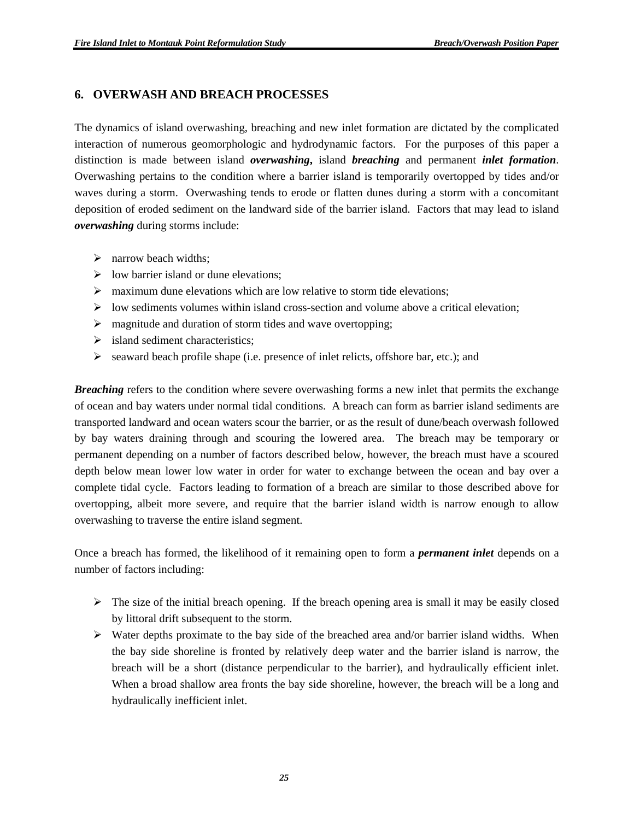### **6. OVERWASH AND BREACH PROCESSES**

The dynamics of island overwashing, breaching and new inlet formation are dictated by the complicated interaction of numerous geomorphologic and hydrodynamic factors. For the purposes of this paper a distinction is made between island *overwashing***,** island *breaching* and permanent *inlet formation*. Overwashing pertains to the condition where a barrier island is temporarily overtopped by tides and/or waves during a storm. Overwashing tends to erode or flatten dunes during a storm with a concomitant deposition of eroded sediment on the landward side of the barrier island. Factors that may lead to island *overwashing* during storms include:

- $\triangleright$  narrow beach widths;
- $\triangleright$  low barrier island or dune elevations:
- $\triangleright$  maximum dune elevations which are low relative to storm tide elevations;
- $\triangleright$  low sediments volumes within island cross-section and volume above a critical elevation;
- $\triangleright$  magnitude and duration of storm tides and wave overtopping;
- $\triangleright$  island sediment characteristics;
- $\triangleright$  seaward beach profile shape (i.e. presence of inlet relicts, offshore bar, etc.); and

*Breaching* refers to the condition where severe overwashing forms a new inlet that permits the exchange of ocean and bay waters under normal tidal conditions. A breach can form as barrier island sediments are transported landward and ocean waters scour the barrier, or as the result of dune/beach overwash followed by bay waters draining through and scouring the lowered area. The breach may be temporary or permanent depending on a number of factors described below, however, the breach must have a scoured depth below mean lower low water in order for water to exchange between the ocean and bay over a complete tidal cycle. Factors leading to formation of a breach are similar to those described above for overtopping, albeit more severe, and require that the barrier island width is narrow enough to allow overwashing to traverse the entire island segment.

Once a breach has formed, the likelihood of it remaining open to form a *permanent inlet* depends on a number of factors including:

- $\triangleright$  The size of the initial breach opening. If the breach opening area is small it may be easily closed by littoral drift subsequent to the storm.
- $\triangleright$  Water depths proximate to the bay side of the breached area and/or barrier island widths. When the bay side shoreline is fronted by relatively deep water and the barrier island is narrow, the breach will be a short (distance perpendicular to the barrier), and hydraulically efficient inlet. When a broad shallow area fronts the bay side shoreline, however, the breach will be a long and hydraulically inefficient inlet.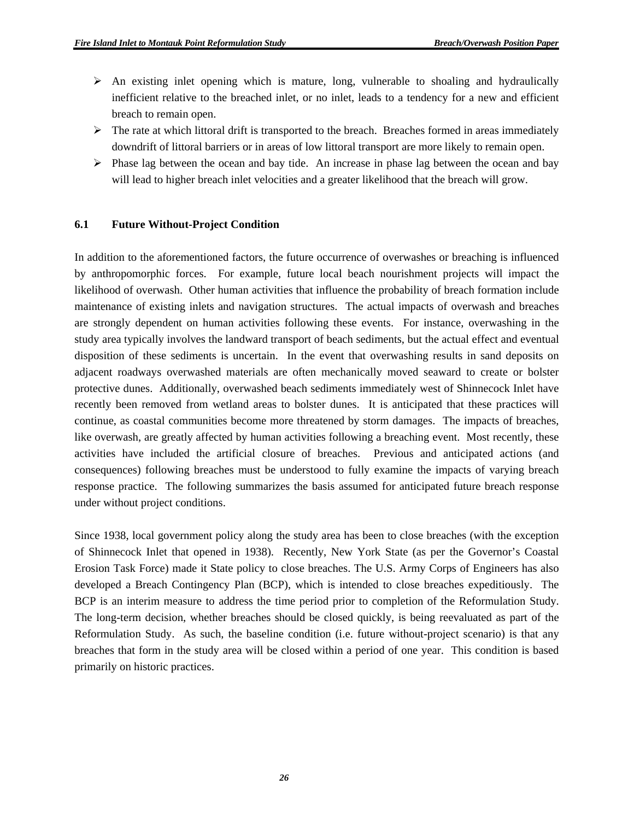- $\triangleright$  An existing inlet opening which is mature, long, vulnerable to shoaling and hydraulically inefficient relative to the breached inlet, or no inlet, leads to a tendency for a new and efficient breach to remain open.
- $\triangleright$  The rate at which littoral drift is transported to the breach. Breaches formed in areas immediately downdrift of littoral barriers or in areas of low littoral transport are more likely to remain open.
- $\triangleright$  Phase lag between the ocean and bay tide. An increase in phase lag between the ocean and bay will lead to higher breach inlet velocities and a greater likelihood that the breach will grow.

#### **6.1 Future Without-Project Condition**

In addition to the aforementioned factors, the future occurrence of overwashes or breaching is influenced by anthropomorphic forces. For example, future local beach nourishment projects will impact the likelihood of overwash. Other human activities that influence the probability of breach formation include maintenance of existing inlets and navigation structures. The actual impacts of overwash and breaches are strongly dependent on human activities following these events. For instance, overwashing in the study area typically involves the landward transport of beach sediments, but the actual effect and eventual disposition of these sediments is uncertain. In the event that overwashing results in sand deposits on adjacent roadways overwashed materials are often mechanically moved seaward to create or bolster protective dunes. Additionally, overwashed beach sediments immediately west of Shinnecock Inlet have recently been removed from wetland areas to bolster dunes. It is anticipated that these practices will continue, as coastal communities become more threatened by storm damages. The impacts of breaches, like overwash, are greatly affected by human activities following a breaching event. Most recently, these activities have included the artificial closure of breaches. Previous and anticipated actions (and consequences) following breaches must be understood to fully examine the impacts of varying breach response practice. The following summarizes the basis assumed for anticipated future breach response under without project conditions.

Since 1938, local government policy along the study area has been to close breaches (with the exception of Shinnecock Inlet that opened in 1938). Recently, New York State (as per the Governor's Coastal Erosion Task Force) made it State policy to close breaches. The U.S. Army Corps of Engineers has also developed a Breach Contingency Plan (BCP), which is intended to close breaches expeditiously. The BCP is an interim measure to address the time period prior to completion of the Reformulation Study. The long-term decision, whether breaches should be closed quickly, is being reevaluated as part of the Reformulation Study. As such, the baseline condition (i.e. future without-project scenario) is that any breaches that form in the study area will be closed within a period of one year. This condition is based primarily on historic practices.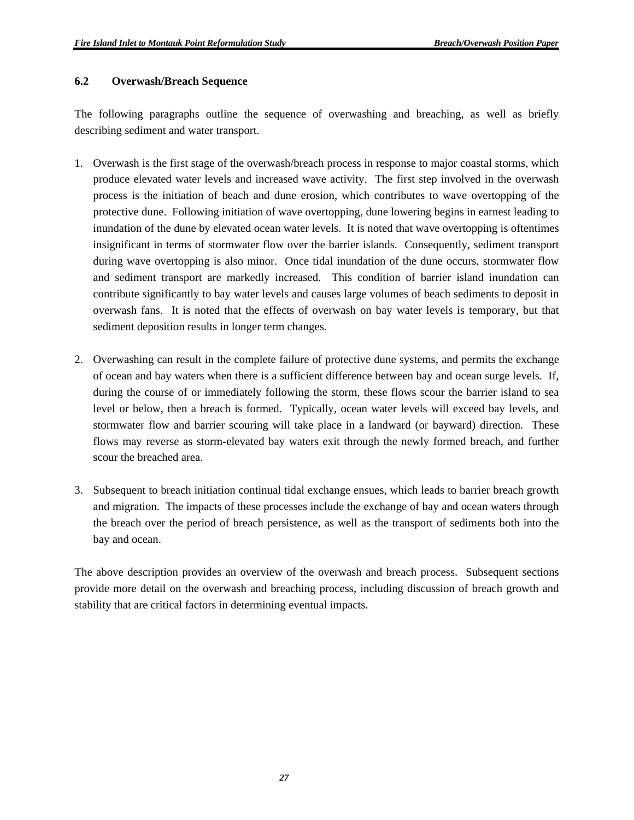#### **6.2 Overwash/Breach Sequence**

The following paragraphs outline the sequence of overwashing and breaching, as well as briefly describing sediment and water transport.

- 1. Overwash is the first stage of the overwash/breach process in response to major coastal storms, which produce elevated water levels and increased wave activity. The first step involved in the overwash process is the initiation of beach and dune erosion, which contributes to wave overtopping of the protective dune. Following initiation of wave overtopping, dune lowering begins in earnest leading to inundation of the dune by elevated ocean water levels. It is noted that wave overtopping is oftentimes insignificant in terms of stormwater flow over the barrier islands. Consequently, sediment transport during wave overtopping is also minor. Once tidal inundation of the dune occurs, stormwater flow and sediment transport are markedly increased. This condition of barrier island inundation can contribute significantly to bay water levels and causes large volumes of beach sediments to deposit in overwash fans. It is noted that the effects of overwash on bay water levels is temporary, but that sediment deposition results in longer term changes.
- 2. Overwashing can result in the complete failure of protective dune systems, and permits the exchange of ocean and bay waters when there is a sufficient difference between bay and ocean surge levels. If, during the course of or immediately following the storm, these flows scour the barrier island to sea level or below, then a breach is formed. Typically, ocean water levels will exceed bay levels, and stormwater flow and barrier scouring will take place in a landward (or bayward) direction. These flows may reverse as storm-elevated bay waters exit through the newly formed breach, and further scour the breached area.
- 3. Subsequent to breach initiation continual tidal exchange ensues, which leads to barrier breach growth and migration. The impacts of these processes include the exchange of bay and ocean waters through the breach over the period of breach persistence, as well as the transport of sediments both into the bay and ocean.

The above description provides an overview of the overwash and breach process. Subsequent sections provide more detail on the overwash and breaching process, including discussion of breach growth and stability that are critical factors in determining eventual impacts.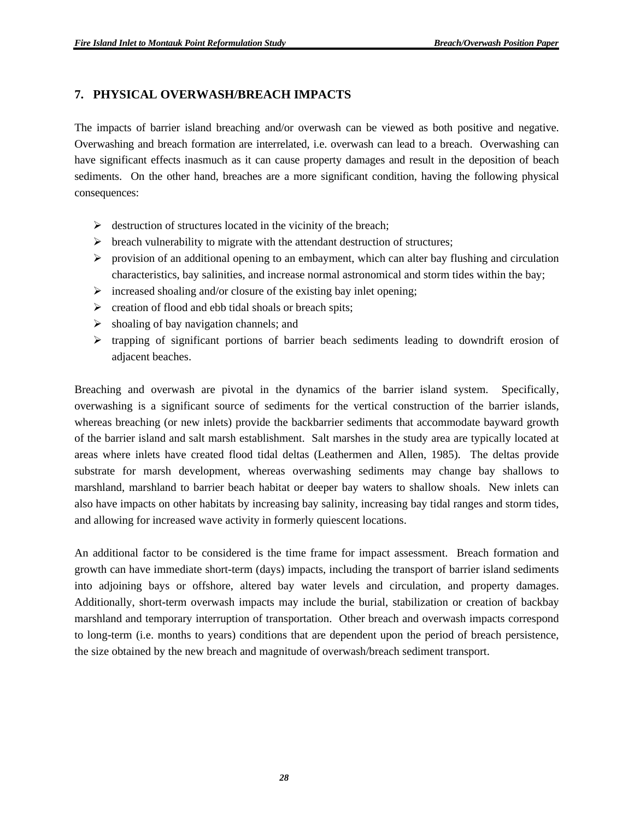## **7. PHYSICAL OVERWASH/BREACH IMPACTS**

The impacts of barrier island breaching and/or overwash can be viewed as both positive and negative. Overwashing and breach formation are interrelated, i.e. overwash can lead to a breach. Overwashing can have significant effects inasmuch as it can cause property damages and result in the deposition of beach sediments. On the other hand, breaches are a more significant condition, having the following physical consequences:

- $\triangleright$  destruction of structures located in the vicinity of the breach;
- $\triangleright$  breach vulnerability to migrate with the attendant destruction of structures;
- $\triangleright$  provision of an additional opening to an embayment, which can alter bay flushing and circulation characteristics, bay salinities, and increase normal astronomical and storm tides within the bay;
- $\triangleright$  increased shoaling and/or closure of the existing bay inlet opening;
- $\triangleright$  creation of flood and ebb tidal shoals or breach spits;
- $\triangleright$  shoaling of bay navigation channels; and
- $\triangleright$  trapping of significant portions of barrier beach sediments leading to downdrift erosion of adjacent beaches.

Breaching and overwash are pivotal in the dynamics of the barrier island system. Specifically, overwashing is a significant source of sediments for the vertical construction of the barrier islands, whereas breaching (or new inlets) provide the backbarrier sediments that accommodate bayward growth of the barrier island and salt marsh establishment. Salt marshes in the study area are typically located at areas where inlets have created flood tidal deltas (Leathermen and Allen, 1985). The deltas provide substrate for marsh development, whereas overwashing sediments may change bay shallows to marshland, marshland to barrier beach habitat or deeper bay waters to shallow shoals. New inlets can also have impacts on other habitats by increasing bay salinity, increasing bay tidal ranges and storm tides, and allowing for increased wave activity in formerly quiescent locations.

An additional factor to be considered is the time frame for impact assessment. Breach formation and growth can have immediate short-term (days) impacts, including the transport of barrier island sediments into adjoining bays or offshore, altered bay water levels and circulation, and property damages. Additionally, short-term overwash impacts may include the burial, stabilization or creation of backbay marshland and temporary interruption of transportation. Other breach and overwash impacts correspond to long-term (i.e. months to years) conditions that are dependent upon the period of breach persistence, the size obtained by the new breach and magnitude of overwash/breach sediment transport.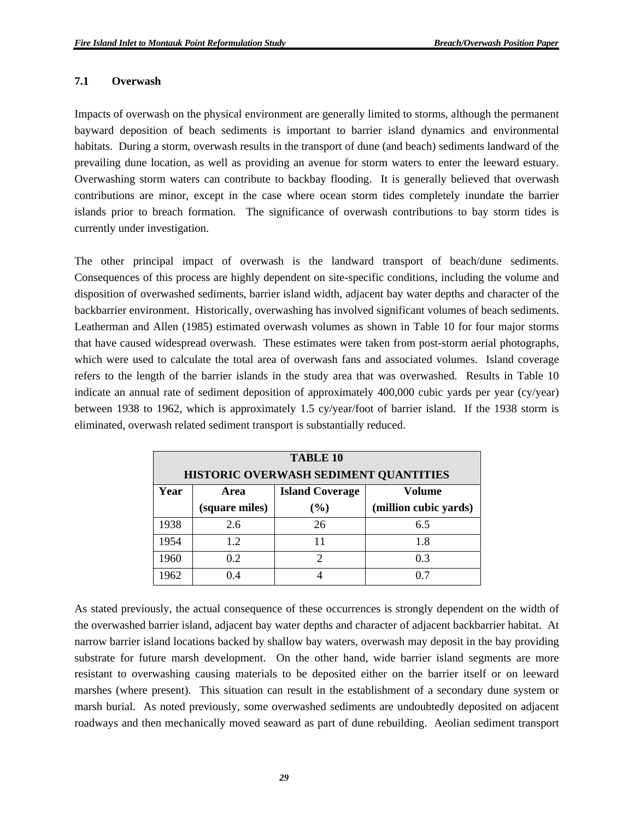#### **7.1 Overwash**

Impacts of overwash on the physical environment are generally limited to storms, although the permanent bayward deposition of beach sediments is important to barrier island dynamics and environmental habitats. During a storm, overwash results in the transport of dune (and beach) sediments landward of the prevailing dune location, as well as providing an avenue for storm waters to enter the leeward estuary. Overwashing storm waters can contribute to backbay flooding. It is generally believed that overwash contributions are minor, except in the case where ocean storm tides completely inundate the barrier islands prior to breach formation. The significance of overwash contributions to bay storm tides is currently under investigation.

The other principal impact of overwash is the landward transport of beach/dune sediments. Consequences of this process are highly dependent on site-specific conditions, including the volume and disposition of overwashed sediments, barrier island width, adjacent bay water depths and character of the backbarrier environment. Historically, overwashing has involved significant volumes of beach sediments. Leatherman and Allen (1985) estimated overwash volumes as shown in Table 10 for four major storms that have caused widespread overwash. These estimates were taken from post-storm aerial photographs, which were used to calculate the total area of overwash fans and associated volumes. Island coverage refers to the length of the barrier islands in the study area that was overwashed. Results in Table 10 indicate an annual rate of sediment deposition of approximately 400,000 cubic yards per year (cy/year) between 1938 to 1962, which is approximately 1.5 cy/year/foot of barrier island. If the 1938 storm is eliminated, overwash related sediment transport is substantially reduced.

| <b>TABLE 10</b>                                   |                                          |    |     |  |  |  |  |  |
|---------------------------------------------------|------------------------------------------|----|-----|--|--|--|--|--|
|                                                   | HISTORIC OVERWASH SEDIMENT QUANTITIES    |    |     |  |  |  |  |  |
| Year                                              | <b>Island Coverage</b><br>Volume<br>Area |    |     |  |  |  |  |  |
| (square miles)<br>(million cubic yards)<br>$(\%)$ |                                          |    |     |  |  |  |  |  |
| 1938                                              | 2.6                                      | 26 | 6.5 |  |  |  |  |  |
| 1954                                              | 1.2                                      |    | 1.8 |  |  |  |  |  |
| 1960                                              | 0.2                                      | 2  | 0.3 |  |  |  |  |  |
| 1962                                              | 04                                       |    | 0.7 |  |  |  |  |  |

As stated previously, the actual consequence of these occurrences is strongly dependent on the width of the overwashed barrier island, adjacent bay water depths and character of adjacent backbarrier habitat. At narrow barrier island locations backed by shallow bay waters, overwash may deposit in the bay providing substrate for future marsh development. On the other hand, wide barrier island segments are more resistant to overwashing causing materials to be deposited either on the barrier itself or on leeward marshes (where present). This situation can result in the establishment of a secondary dune system or marsh burial. As noted previously, some overwashed sediments are undoubtedly deposited on adjacent roadways and then mechanically moved seaward as part of dune rebuilding. Aeolian sediment transport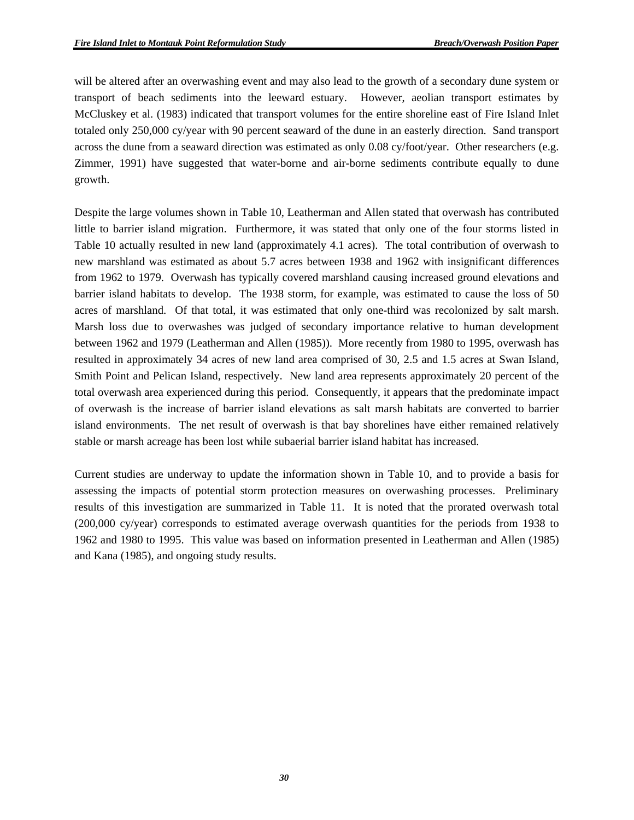will be altered after an overwashing event and may also lead to the growth of a secondary dune system or transport of beach sediments into the leeward estuary. However, aeolian transport estimates by McCluskey et al. (1983) indicated that transport volumes for the entire shoreline east of Fire Island Inlet totaled only 250,000 cy/year with 90 percent seaward of the dune in an easterly direction. Sand transport across the dune from a seaward direction was estimated as only 0.08 cy/foot/year. Other researchers (e.g. Zimmer, 1991) have suggested that water-borne and air-borne sediments contribute equally to dune growth.

Despite the large volumes shown in Table 10, Leatherman and Allen stated that overwash has contributed little to barrier island migration. Furthermore, it was stated that only one of the four storms listed in Table 10 actually resulted in new land (approximately 4.1 acres). The total contribution of overwash to new marshland was estimated as about 5.7 acres between 1938 and 1962 with insignificant differences from 1962 to 1979. Overwash has typically covered marshland causing increased ground elevations and barrier island habitats to develop. The 1938 storm, for example, was estimated to cause the loss of 50 acres of marshland. Of that total, it was estimated that only one-third was recolonized by salt marsh. Marsh loss due to overwashes was judged of secondary importance relative to human development between 1962 and 1979 (Leatherman and Allen (1985)). More recently from 1980 to 1995, overwash has resulted in approximately 34 acres of new land area comprised of 30, 2.5 and 1.5 acres at Swan Island, Smith Point and Pelican Island, respectively. New land area represents approximately 20 percent of the total overwash area experienced during this period. Consequently, it appears that the predominate impact of overwash is the increase of barrier island elevations as salt marsh habitats are converted to barrier island environments. The net result of overwash is that bay shorelines have either remained relatively stable or marsh acreage has been lost while subaerial barrier island habitat has increased.

Current studies are underway to update the information shown in Table 10, and to provide a basis for assessing the impacts of potential storm protection measures on overwashing processes. Preliminary results of this investigation are summarized in Table 11. It is noted that the prorated overwash total (200,000 cy/year) corresponds to estimated average overwash quantities for the periods from 1938 to 1962 and 1980 to 1995. This value was based on information presented in Leatherman and Allen (1985) and Kana (1985), and ongoing study results.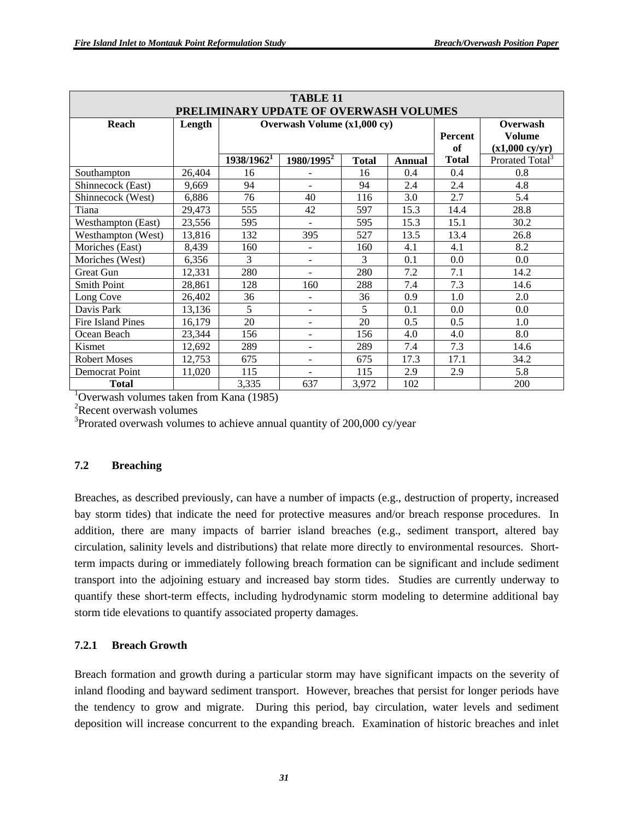| <b>TABLE 11</b>                              |        |                             |                                        |              |        |              |                             |
|----------------------------------------------|--------|-----------------------------|----------------------------------------|--------------|--------|--------------|-----------------------------|
|                                              |        |                             | PRELIMINARY UPDATE OF OVERWASH VOLUMES |              |        |              |                             |
| Reach                                        | Length | Overwash Volume (x1,000 cy) |                                        |              |        |              | Overwash                    |
|                                              |        |                             |                                        |              |        | Percent      | <b>Volume</b>               |
|                                              |        |                             |                                        |              |        | of           | $(x1,000 \text{ cy/yr})$    |
|                                              |        | 1938/1962 <sup>1</sup>      | $1980/1995^2$                          | <b>Total</b> | Annual | <b>Total</b> | Prorated Total <sup>3</sup> |
| Southampton                                  | 26,404 | 16                          | L,                                     | 16           | 0.4    | 0.4          | 0.8                         |
| Shinnecock (East)                            | 9,669  | 94                          |                                        | 94           | 2.4    | 2.4          | 4.8                         |
| Shinnecock (West)                            | 6,886  | 76                          | 40                                     | 116          | 3.0    | 2.7          | 5.4                         |
| Tiana                                        | 29,473 | 555                         | 42                                     | 597          | 15.3   | 14.4         | 28.8                        |
| Westhampton (East)                           | 23,556 | 595                         |                                        | 595          | 15.3   | 15.1         | 30.2                        |
| Westhampton (West)                           | 13,816 | 132                         | 395                                    | 527          | 13.5   | 13.4         | 26.8                        |
| Moriches (East)                              | 8,439  | 160                         | $\blacksquare$                         | 160          | 4.1    | 4.1          | 8.2                         |
| Moriches (West)                              | 6,356  | 3                           | $\overline{\phantom{a}}$               | 3            | 0.1    | 0.0          | 0.0                         |
| Great Gun                                    | 12,331 | 280                         | $\blacksquare$                         | 280          | 7.2    | 7.1          | 14.2                        |
| <b>Smith Point</b>                           | 28,861 | 128                         | 160                                    | 288          | 7.4    | 7.3          | 14.6                        |
| Long Cove                                    | 26,402 | 36                          | $\blacksquare$                         | 36           | 0.9    | 1.0          | 2.0                         |
| Davis Park                                   | 13,136 | 5                           | ÷.                                     | 5            | 0.1    | 0.0          | 0.0                         |
| <b>Fire Island Pines</b>                     | 16,179 | 20                          | -                                      | 20           | 0.5    | 0.5          | 1.0                         |
| Ocean Beach                                  | 23,344 | 156                         | $\overline{\phantom{a}}$               | 156          | 4.0    | 4.0          | 8.0                         |
| Kismet                                       | 12,692 | 289                         | $\overline{\phantom{a}}$               | 289          | 7.4    | 7.3          | 14.6                        |
| <b>Robert Moses</b>                          | 12,753 | 675                         | $\overline{\phantom{a}}$               | 675          | 17.3   | 17.1         | 34.2                        |
| Democrat Point                               | 11,020 | 115                         | $\blacksquare$                         | 115          | 2.9    | 2.9          | 5.8                         |
| 637<br>102<br><b>Total</b><br>3,335<br>3,972 |        |                             |                                        |              |        | 200          |                             |

<sup>1</sup>Overwash volumes taken from Kana (1985)

<sup>2</sup>Recent overwash volumes

 $3$ Prorated overwash volumes to achieve annual quantity of 200,000 cy/year

#### **7.2 Breaching**

Breaches, as described previously, can have a number of impacts (e.g., destruction of property, increased bay storm tides) that indicate the need for protective measures and/or breach response procedures. In addition, there are many impacts of barrier island breaches (e.g., sediment transport, altered bay circulation, salinity levels and distributions) that relate more directly to environmental resources. Shortterm impacts during or immediately following breach formation can be significant and include sediment transport into the adjoining estuary and increased bay storm tides. Studies are currently underway to quantify these short-term effects, including hydrodynamic storm modeling to determine additional bay storm tide elevations to quantify associated property damages.

#### **7.2.1 Breach Growth**

Breach formation and growth during a particular storm may have significant impacts on the severity of inland flooding and bayward sediment transport. However, breaches that persist for longer periods have the tendency to grow and migrate. During this period, bay circulation, water levels and sediment deposition will increase concurrent to the expanding breach. Examination of historic breaches and inlet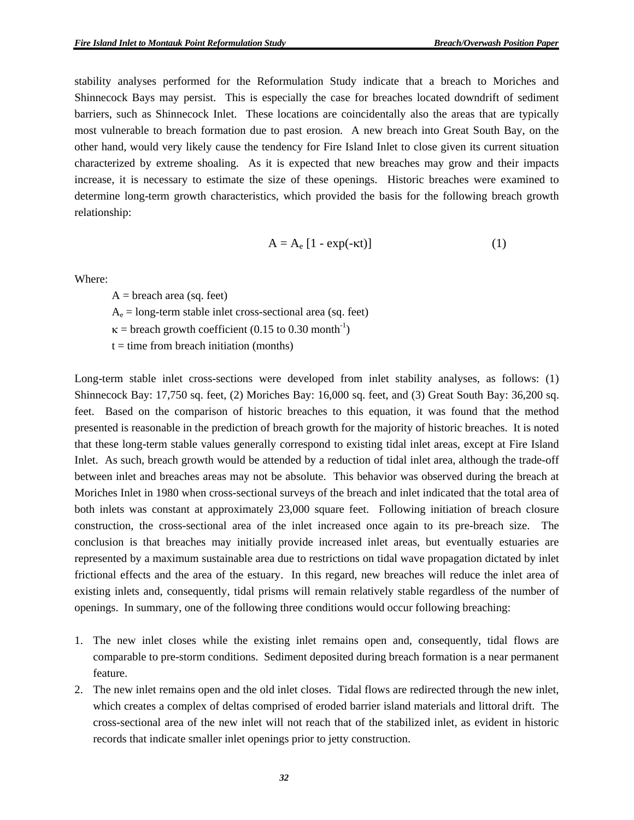stability analyses performed for the Reformulation Study indicate that a breach to Moriches and Shinnecock Bays may persist. This is especially the case for breaches located downdrift of sediment barriers, such as Shinnecock Inlet. These locations are coincidentally also the areas that are typically most vulnerable to breach formation due to past erosion. A new breach into Great South Bay, on the other hand, would very likely cause the tendency for Fire Island Inlet to close given its current situation characterized by extreme shoaling. As it is expected that new breaches may grow and their impacts increase, it is necessary to estimate the size of these openings. Historic breaches were examined to determine long-term growth characteristics, which provided the basis for the following breach growth relationship:

$$
A = A_e [1 - exp(-\kappa t)] \tag{1}
$$

Where:

 $A =$  breach area (sq. feet)

 $A_e$  = long-term stable inlet cross-sectional area (sq. feet)

 $\kappa$  = breach growth coefficient (0.15 to 0.30 month<sup>-1</sup>)

 $t =$  time from breach initiation (months)

Long-term stable inlet cross-sections were developed from inlet stability analyses, as follows: (1) Shinnecock Bay: 17,750 sq. feet, (2) Moriches Bay: 16,000 sq. feet, and (3) Great South Bay: 36,200 sq. feet. Based on the comparison of historic breaches to this equation, it was found that the method presented is reasonable in the prediction of breach growth for the majority of historic breaches. It is noted that these long-term stable values generally correspond to existing tidal inlet areas, except at Fire Island Inlet. As such, breach growth would be attended by a reduction of tidal inlet area, although the trade-off between inlet and breaches areas may not be absolute. This behavior was observed during the breach at Moriches Inlet in 1980 when cross-sectional surveys of the breach and inlet indicated that the total area of both inlets was constant at approximately 23,000 square feet. Following initiation of breach closure construction, the cross-sectional area of the inlet increased once again to its pre-breach size. The conclusion is that breaches may initially provide increased inlet areas, but eventually estuaries are represented by a maximum sustainable area due to restrictions on tidal wave propagation dictated by inlet frictional effects and the area of the estuary. In this regard, new breaches will reduce the inlet area of existing inlets and, consequently, tidal prisms will remain relatively stable regardless of the number of openings. In summary, one of the following three conditions would occur following breaching:

- 1. The new inlet closes while the existing inlet remains open and, consequently, tidal flows are comparable to pre-storm conditions. Sediment deposited during breach formation is a near permanent feature.
- 2. The new inlet remains open and the old inlet closes. Tidal flows are redirected through the new inlet, which creates a complex of deltas comprised of eroded barrier island materials and littoral drift. The cross-sectional area of the new inlet will not reach that of the stabilized inlet, as evident in historic records that indicate smaller inlet openings prior to jetty construction.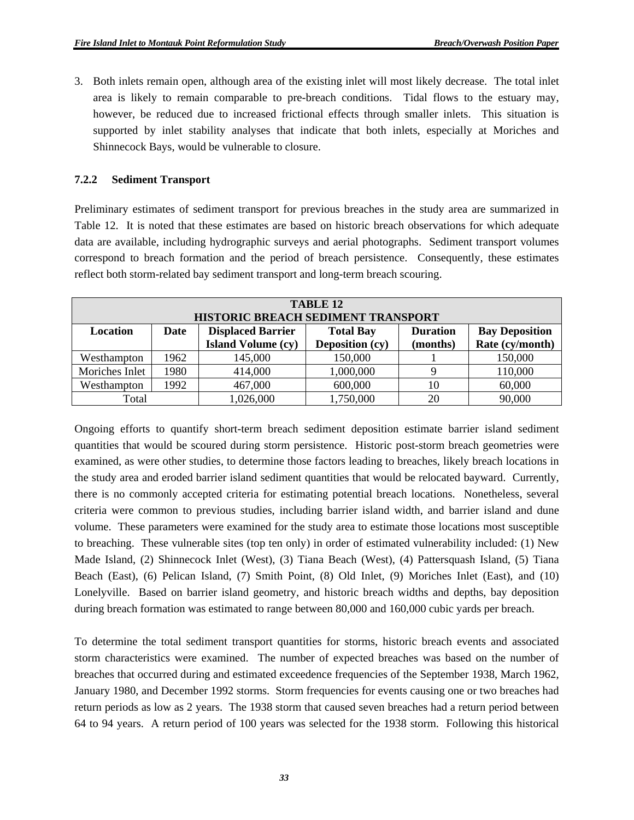3. Both inlets remain open, although area of the existing inlet will most likely decrease. The total inlet area is likely to remain comparable to pre-breach conditions. Tidal flows to the estuary may, however, be reduced due to increased frictional effects through smaller inlets. This situation is supported by inlet stability analyses that indicate that both inlets, especially at Moriches and Shinnecock Bays, would be vulnerable to closure.

#### **7.2.2 Sediment Transport**

Preliminary estimates of sediment transport for previous breaches in the study area are summarized in Table 12. It is noted that these estimates are based on historic breach observations for which adequate data are available, including hydrographic surveys and aerial photographs. Sediment transport volumes correspond to breach formation and the period of breach persistence. Consequently, these estimates reflect both storm-related bay sediment transport and long-term breach scouring.

| TABLE 12       |                                                                                                         |                                    |                 |          |                 |  |
|----------------|---------------------------------------------------------------------------------------------------------|------------------------------------|-----------------|----------|-----------------|--|
|                |                                                                                                         | HISTORIC BREACH SEDIMENT TRANSPORT |                 |          |                 |  |
| Location       | <b>Displaced Barrier</b><br><b>Total Bay</b><br><b>Duration</b><br><b>Bay Deposition</b><br><b>Date</b> |                                    |                 |          |                 |  |
|                |                                                                                                         | <b>Island Volume (cy)</b>          | Deposition (cy) | (months) | Rate (cy/month) |  |
| Westhampton    | 1962                                                                                                    | 145,000                            | 150,000         |          | 150,000         |  |
| Moriches Inlet | 1980                                                                                                    | 414,000                            | 1,000,000       |          | 110,000         |  |
| Westhampton    | 1992                                                                                                    | 467,000                            | 600,000         | 10       | 60,000          |  |
| Total          |                                                                                                         | 1,026,000                          | 1,750,000       | 20       | 90,000          |  |

Ongoing efforts to quantify short-term breach sediment deposition estimate barrier island sediment quantities that would be scoured during storm persistence. Historic post-storm breach geometries were examined, as were other studies, to determine those factors leading to breaches, likely breach locations in the study area and eroded barrier island sediment quantities that would be relocated bayward. Currently, there is no commonly accepted criteria for estimating potential breach locations. Nonetheless, several criteria were common to previous studies, including barrier island width, and barrier island and dune volume. These parameters were examined for the study area to estimate those locations most susceptible to breaching. These vulnerable sites (top ten only) in order of estimated vulnerability included: (1) New Made Island, (2) Shinnecock Inlet (West), (3) Tiana Beach (West), (4) Pattersquash Island, (5) Tiana Beach (East), (6) Pelican Island, (7) Smith Point, (8) Old Inlet, (9) Moriches Inlet (East), and (10) Lonelyville. Based on barrier island geometry, and historic breach widths and depths, bay deposition during breach formation was estimated to range between 80,000 and 160,000 cubic yards per breach.

To determine the total sediment transport quantities for storms, historic breach events and associated storm characteristics were examined. The number of expected breaches was based on the number of breaches that occurred during and estimated exceedence frequencies of the September 1938, March 1962, January 1980, and December 1992 storms. Storm frequencies for events causing one or two breaches had return periods as low as 2 years. The 1938 storm that caused seven breaches had a return period between 64 to 94 years. A return period of 100 years was selected for the 1938 storm. Following this historical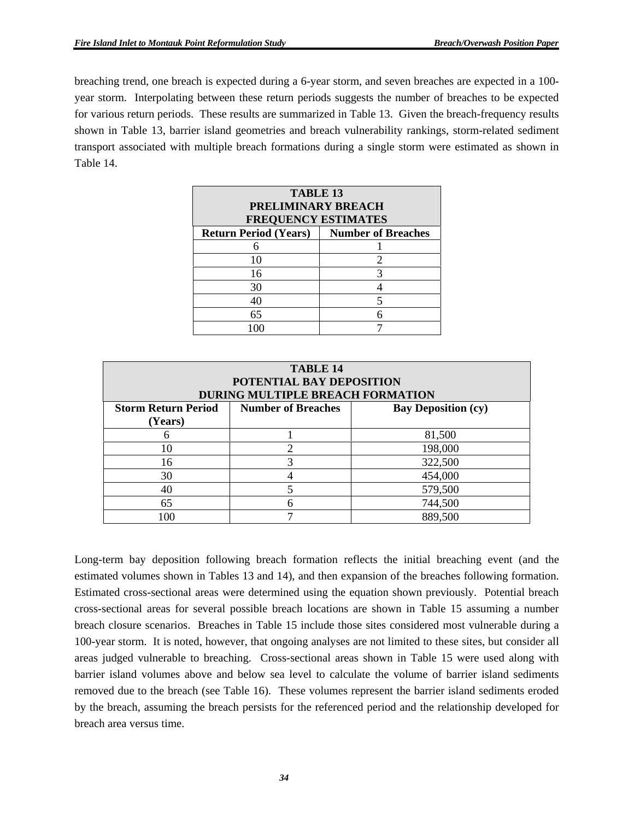breaching trend, one breach is expected during a 6-year storm, and seven breaches are expected in a 100 year storm. Interpolating between these return periods suggests the number of breaches to be expected for various return periods. These results are summarized in Table 13. Given the breach-frequency results shown in Table 13, barrier island geometries and breach vulnerability rankings, storm-related sediment transport associated with multiple breach formations during a single storm were estimated as shown in Table 14.

| <b>TABLE 13</b><br><b>PRELIMINARY BREACH</b><br><b>FREQUENCY ESTIMATES</b> |   |  |  |  |
|----------------------------------------------------------------------------|---|--|--|--|
| <b>Number of Breaches</b><br><b>Return Period (Years)</b>                  |   |  |  |  |
|                                                                            |   |  |  |  |
| 10                                                                         | 2 |  |  |  |
| 16                                                                         | 3 |  |  |  |
| 30                                                                         |   |  |  |  |
| 40                                                                         |   |  |  |  |
| 65                                                                         |   |  |  |  |
|                                                                            |   |  |  |  |

| <b>TABLE 14</b><br>POTENTIAL BAY DEPOSITION<br>DURING MULTIPLE BREACH FORMATION                  |   |         |  |  |  |
|--------------------------------------------------------------------------------------------------|---|---------|--|--|--|
| <b>Storm Return Period</b><br><b>Number of Breaches</b><br><b>Bay Deposition (cy)</b><br>(Years) |   |         |  |  |  |
|                                                                                                  |   | 81,500  |  |  |  |
| 10                                                                                               | 2 | 198,000 |  |  |  |
| 16                                                                                               | 3 | 322,500 |  |  |  |
| 30                                                                                               | 4 | 454,000 |  |  |  |
| 40                                                                                               | 5 | 579,500 |  |  |  |
| 65                                                                                               | 6 | 744,500 |  |  |  |
|                                                                                                  |   | 889,500 |  |  |  |

Long-term bay deposition following breach formation reflects the initial breaching event (and the estimated volumes shown in Tables 13 and 14), and then expansion of the breaches following formation. Estimated cross-sectional areas were determined using the equation shown previously. Potential breach cross-sectional areas for several possible breach locations are shown in Table 15 assuming a number breach closure scenarios. Breaches in Table 15 include those sites considered most vulnerable during a 100-year storm. It is noted, however, that ongoing analyses are not limited to these sites, but consider all areas judged vulnerable to breaching. Cross-sectional areas shown in Table 15 were used along with barrier island volumes above and below sea level to calculate the volume of barrier island sediments removed due to the breach (see Table 16). These volumes represent the barrier island sediments eroded by the breach, assuming the breach persists for the referenced period and the relationship developed for breach area versus time.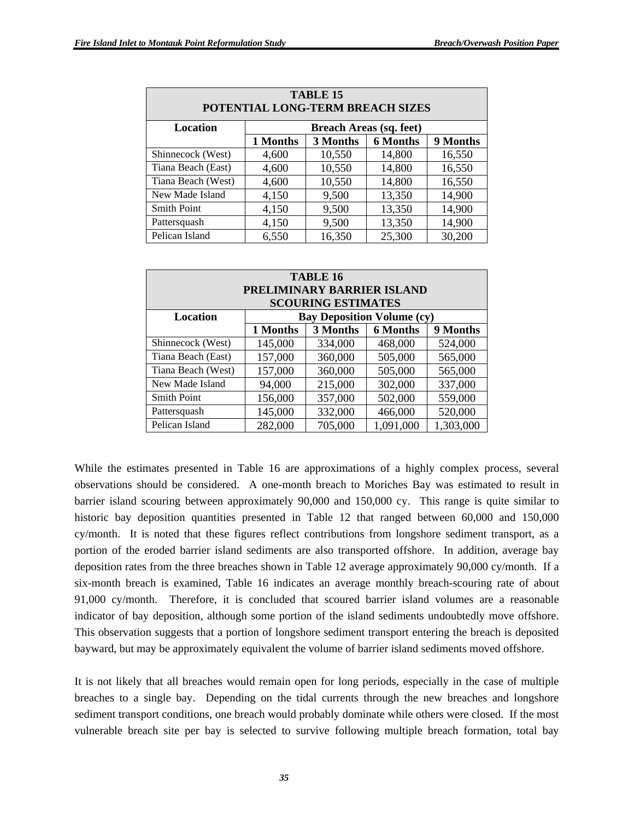| TABLE 15<br>POTENTIAL LONG-TERM BREACH SIZES        |                                |        |        |        |
|-----------------------------------------------------|--------------------------------|--------|--------|--------|
| Location                                            | <b>Breach Areas (sq. feet)</b> |        |        |        |
| 9 Months<br><b>6 Months</b><br>1 Months<br>3 Months |                                |        |        |        |
| Shinnecock (West)                                   | 4,600                          | 10,550 | 14,800 | 16,550 |
| Tiana Beach (East)                                  | 4,600                          | 10,550 | 14,800 | 16,550 |
| Tiana Beach (West)                                  | 4,600                          | 10,550 | 14,800 | 16,550 |
| New Made Island                                     | 4,150                          | 9,500  | 13,350 | 14,900 |
| <b>Smith Point</b>                                  | 4,150                          | 9,500  | 13,350 | 14,900 |
| Pattersquash                                        | 4,150                          | 9,500  | 13,350 | 14,900 |
| Pelican Island                                      | 6,550                          | 16,350 | 25,300 | 30,200 |

| <b>TABLE 16</b><br>PRELIMINARY BARRIER ISLAND                              |                                                     |         |           |           |  |
|----------------------------------------------------------------------------|-----------------------------------------------------|---------|-----------|-----------|--|
| <b>SCOURING ESTIMATES</b><br><b>Bay Deposition Volume (cy)</b><br>Location |                                                     |         |           |           |  |
|                                                                            | 9 Months<br><b>6 Months</b><br>1 Months<br>3 Months |         |           |           |  |
| Shinnecock (West)                                                          | 145,000                                             | 334,000 | 468,000   | 524,000   |  |
| Tiana Beach (East)                                                         | 157,000                                             | 360,000 | 505,000   | 565,000   |  |
| Tiana Beach (West)                                                         | 157,000                                             | 360,000 | 505,000   | 565,000   |  |
| New Made Island                                                            | 94,000                                              | 215,000 | 302,000   | 337,000   |  |
| <b>Smith Point</b>                                                         | 156,000                                             | 357,000 | 502,000   | 559,000   |  |
| Pattersquash                                                               | 145,000                                             | 332,000 | 466,000   | 520,000   |  |
| Pelican Island                                                             | 282,000                                             | 705,000 | 1,091,000 | 1,303,000 |  |

While the estimates presented in Table 16 are approximations of a highly complex process, several observations should be considered. A one-month breach to Moriches Bay was estimated to result in barrier island scouring between approximately 90,000 and 150,000 cy. This range is quite similar to historic bay deposition quantities presented in Table 12 that ranged between 60,000 and 150,000 cy/month. It is noted that these figures reflect contributions from longshore sediment transport, as a portion of the eroded barrier island sediments are also transported offshore. In addition, average bay deposition rates from the three breaches shown in Table 12 average approximately 90,000 cy/month. If a six-month breach is examined, Table 16 indicates an average monthly breach-scouring rate of about 91,000 cy/month. Therefore, it is concluded that scoured barrier island volumes are a reasonable indicator of bay deposition, although some portion of the island sediments undoubtedly move offshore. This observation suggests that a portion of longshore sediment transport entering the breach is deposited bayward, but may be approximately equivalent the volume of barrier island sediments moved offshore.

It is not likely that all breaches would remain open for long periods, especially in the case of multiple breaches to a single bay. Depending on the tidal currents through the new breaches and longshore sediment transport conditions, one breach would probably dominate while others were closed. If the most vulnerable breach site per bay is selected to survive following multiple breach formation, total bay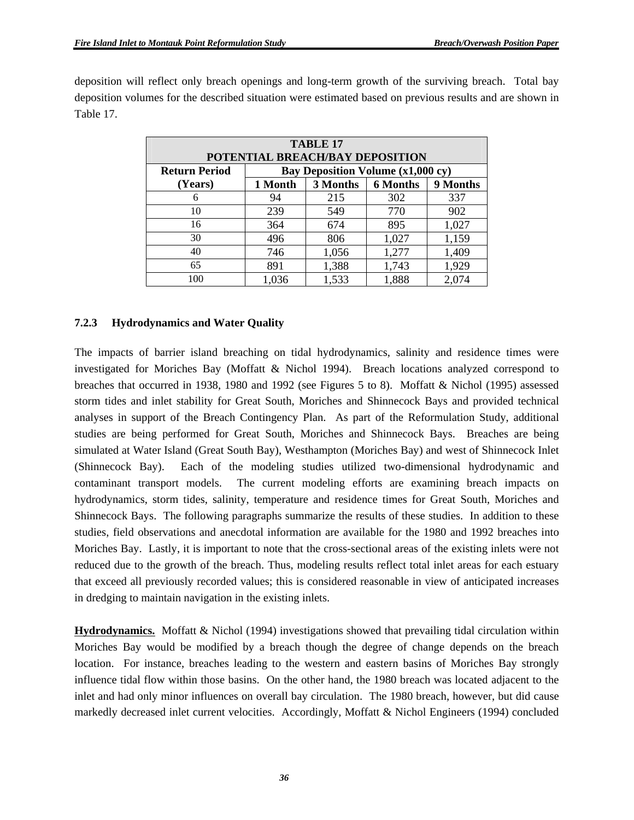deposition will reflect only breach openings and long-term growth of the surviving breach. Total bay deposition volumes for the described situation were estimated based on previous results and are shown in Table 17.

| <b>TABLE 17</b><br>POTENTIAL BREACH/BAY DEPOSITION |                                                    |       |       |       |  |
|----------------------------------------------------|----------------------------------------------------|-------|-------|-------|--|
| <b>Return Period</b>                               | Bay Deposition Volume (x1,000 cy)                  |       |       |       |  |
| (Years)                                            | 3 Months<br><b>6 Months</b><br>9 Months<br>1 Month |       |       |       |  |
| 6                                                  | 94                                                 | 215   | 302   | 337   |  |
| 10                                                 | 239                                                | 549   | 770   | 902   |  |
| 16                                                 | 364                                                | 674   | 895   | 1,027 |  |
| 30                                                 | 496                                                | 806   | 1,027 | 1,159 |  |
| 40                                                 | 746                                                | 1,056 | 1,277 | 1,409 |  |
| 65                                                 | 891                                                | 1,388 | 1,743 | 1,929 |  |
| 100                                                | 1,036                                              | 1,533 | 1,888 | 2,074 |  |

#### **7.2.3 Hydrodynamics and Water Quality**

The impacts of barrier island breaching on tidal hydrodynamics, salinity and residence times were investigated for Moriches Bay (Moffatt & Nichol 1994). Breach locations analyzed correspond to breaches that occurred in 1938, 1980 and 1992 (see Figures 5 to 8). Moffatt & Nichol (1995) assessed storm tides and inlet stability for Great South, Moriches and Shinnecock Bays and provided technical analyses in support of the Breach Contingency Plan. As part of the Reformulation Study, additional studies are being performed for Great South, Moriches and Shinnecock Bays. Breaches are being simulated at Water Island (Great South Bay), Westhampton (Moriches Bay) and west of Shinnecock Inlet (Shinnecock Bay). Each of the modeling studies utilized two-dimensional hydrodynamic and contaminant transport models. The current modeling efforts are examining breach impacts on hydrodynamics, storm tides, salinity, temperature and residence times for Great South, Moriches and Shinnecock Bays. The following paragraphs summarize the results of these studies. In addition to these studies, field observations and anecdotal information are available for the 1980 and 1992 breaches into Moriches Bay. Lastly, it is important to note that the cross-sectional areas of the existing inlets were not reduced due to the growth of the breach. Thus, modeling results reflect total inlet areas for each estuary that exceed all previously recorded values; this is considered reasonable in view of anticipated increases in dredging to maintain navigation in the existing inlets.

**Hydrodynamics.** Moffatt & Nichol (1994) investigations showed that prevailing tidal circulation within Moriches Bay would be modified by a breach though the degree of change depends on the breach location. For instance, breaches leading to the western and eastern basins of Moriches Bay strongly influence tidal flow within those basins. On the other hand, the 1980 breach was located adjacent to the inlet and had only minor influences on overall bay circulation. The 1980 breach, however, but did cause markedly decreased inlet current velocities. Accordingly, Moffatt & Nichol Engineers (1994) concluded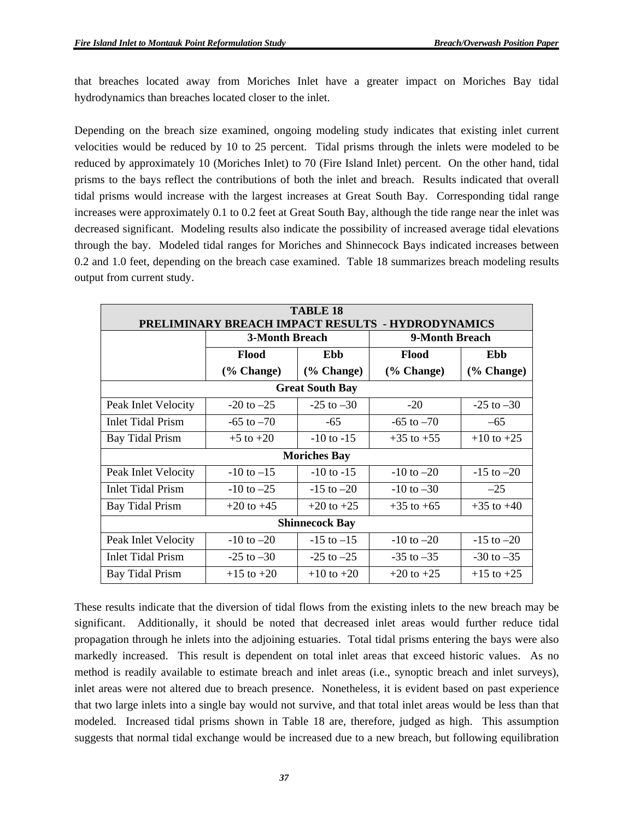that breaches located away from Moriches Inlet have a greater impact on Moriches Bay tidal hydrodynamics than breaches located closer to the inlet.

Depending on the breach size examined, ongoing modeling study indicates that existing inlet current velocities would be reduced by 10 to 25 percent. Tidal prisms through the inlets were modeled to be reduced by approximately 10 (Moriches Inlet) to 70 (Fire Island Inlet) percent. On the other hand, tidal prisms to the bays reflect the contributions of both the inlet and breach. Results indicated that overall tidal prisms would increase with the largest increases at Great South Bay. Corresponding tidal range increases were approximately 0.1 to 0.2 feet at Great South Bay, although the tide range near the inlet was decreased significant. Modeling results also indicate the possibility of increased average tidal elevations through the bay. Modeled tidal ranges for Moriches and Shinnecock Bays indicated increases between 0.2 and 1.0 feet, depending on the breach case examined. Table 18 summarizes breach modeling results output from current study.

| <b>TABLE 18</b>                                   |                       |                        |                |                |  |
|---------------------------------------------------|-----------------------|------------------------|----------------|----------------|--|
| PRELIMINARY BREACH IMPACT RESULTS - HYDRODYNAMICS |                       |                        |                |                |  |
|                                                   | <b>3-Month Breach</b> |                        | 9-Month Breach |                |  |
|                                                   | Flood<br>Ebb          |                        | <b>Flood</b>   | Ebb            |  |
|                                                   | $(\%$ Change)         | $(\%$ Change)          | (% Change)     | (% Change)     |  |
|                                                   |                       | <b>Great South Bay</b> |                |                |  |
| Peak Inlet Velocity                               | $-20$ to $-25$        | $-25$ to $-30$         | $-20$          | $-25$ to $-30$ |  |
| <b>Inlet Tidal Prism</b>                          | $-65$ to $-70$        | $-65$                  | $-65$ to $-70$ | $-65$          |  |
| <b>Bay Tidal Prism</b>                            | $+5$ to $+20$         | $-10$ to $-15$         | $+35$ to $+55$ | $+10$ to $+25$ |  |
| <b>Moriches Bay</b>                               |                       |                        |                |                |  |
| Peak Inlet Velocity                               | $-10$ to $-15$        | $-10$ to $-15$         | $-10$ to $-20$ | $-15$ to $-20$ |  |
| <b>Inlet Tidal Prism</b>                          | $-10$ to $-25$        | $-15$ to $-20$         | $-10$ to $-30$ | $-25$          |  |
| <b>Bay Tidal Prism</b>                            | $+20$ to $+45$        | $+20$ to $+25$         | $+35$ to $+65$ | $+35$ to $+40$ |  |
| <b>Shinnecock Bay</b>                             |                       |                        |                |                |  |
| Peak Inlet Velocity                               | $-10$ to $-20$        | $-15$ to $-15$         | $-10$ to $-20$ | $-15$ to $-20$ |  |
| <b>Inlet Tidal Prism</b>                          | $-25$ to $-30$        | $-25$ to $-25$         | $-35$ to $-35$ | $-30$ to $-35$ |  |
| <b>Bay Tidal Prism</b>                            | $+15$ to $+20$        | $+10$ to $+20$         | $+20$ to $+25$ | $+15$ to $+25$ |  |

These results indicate that the diversion of tidal flows from the existing inlets to the new breach may be significant. Additionally, it should be noted that decreased inlet areas would further reduce tidal propagation through he inlets into the adjoining estuaries. Total tidal prisms entering the bays were also markedly increased. This result is dependent on total inlet areas that exceed historic values. As no method is readily available to estimate breach and inlet areas (i.e., synoptic breach and inlet surveys), inlet areas were not altered due to breach presence. Nonetheless, it is evident based on past experience that two large inlets into a single bay would not survive, and that total inlet areas would be less than that modeled. Increased tidal prisms shown in Table 18 are, therefore, judged as high. This assumption suggests that normal tidal exchange would be increased due to a new breach, but following equilibration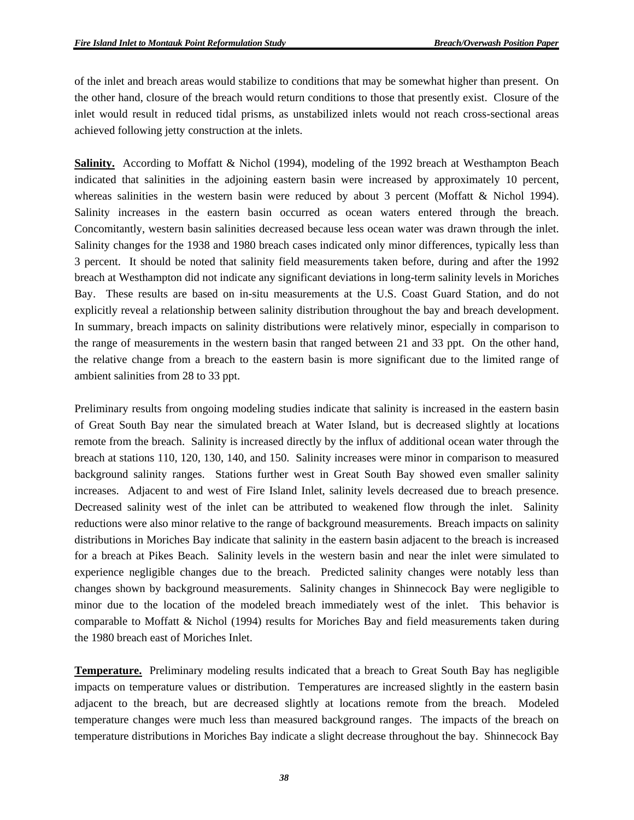of the inlet and breach areas would stabilize to conditions that may be somewhat higher than present. On the other hand, closure of the breach would return conditions to those that presently exist. Closure of the inlet would result in reduced tidal prisms, as unstabilized inlets would not reach cross-sectional areas achieved following jetty construction at the inlets.

**Salinity.** According to Moffatt & Nichol (1994), modeling of the 1992 breach at Westhampton Beach indicated that salinities in the adjoining eastern basin were increased by approximately 10 percent, whereas salinities in the western basin were reduced by about 3 percent (Moffatt  $\&$  Nichol 1994). Salinity increases in the eastern basin occurred as ocean waters entered through the breach. Concomitantly, western basin salinities decreased because less ocean water was drawn through the inlet. Salinity changes for the 1938 and 1980 breach cases indicated only minor differences, typically less than 3 percent. It should be noted that salinity field measurements taken before, during and after the 1992 breach at Westhampton did not indicate any significant deviations in long-term salinity levels in Moriches Bay. These results are based on in-situ measurements at the U.S. Coast Guard Station, and do not explicitly reveal a relationship between salinity distribution throughout the bay and breach development. In summary, breach impacts on salinity distributions were relatively minor, especially in comparison to the range of measurements in the western basin that ranged between 21 and 33 ppt. On the other hand, the relative change from a breach to the eastern basin is more significant due to the limited range of ambient salinities from 28 to 33 ppt.

Preliminary results from ongoing modeling studies indicate that salinity is increased in the eastern basin of Great South Bay near the simulated breach at Water Island, but is decreased slightly at locations remote from the breach. Salinity is increased directly by the influx of additional ocean water through the breach at stations 110, 120, 130, 140, and 150. Salinity increases were minor in comparison to measured background salinity ranges. Stations further west in Great South Bay showed even smaller salinity increases. Adjacent to and west of Fire Island Inlet, salinity levels decreased due to breach presence. Decreased salinity west of the inlet can be attributed to weakened flow through the inlet. Salinity reductions were also minor relative to the range of background measurements. Breach impacts on salinity distributions in Moriches Bay indicate that salinity in the eastern basin adjacent to the breach is increased for a breach at Pikes Beach. Salinity levels in the western basin and near the inlet were simulated to experience negligible changes due to the breach. Predicted salinity changes were notably less than changes shown by background measurements. Salinity changes in Shinnecock Bay were negligible to minor due to the location of the modeled breach immediately west of the inlet. This behavior is comparable to Moffatt & Nichol (1994) results for Moriches Bay and field measurements taken during the 1980 breach east of Moriches Inlet.

**Temperature.** Preliminary modeling results indicated that a breach to Great South Bay has negligible impacts on temperature values or distribution. Temperatures are increased slightly in the eastern basin adjacent to the breach, but are decreased slightly at locations remote from the breach. Modeled temperature changes were much less than measured background ranges. The impacts of the breach on temperature distributions in Moriches Bay indicate a slight decrease throughout the bay. Shinnecock Bay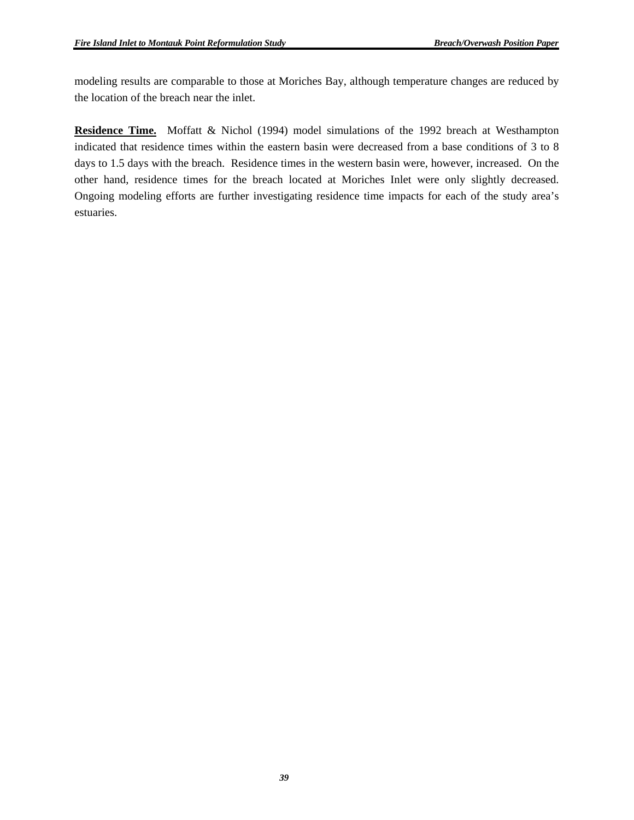modeling results are comparable to those at Moriches Bay, although temperature changes are reduced by the location of the breach near the inlet.

**Residence Time.** Moffatt & Nichol (1994) model simulations of the 1992 breach at Westhampton indicated that residence times within the eastern basin were decreased from a base conditions of 3 to 8 days to 1.5 days with the breach. Residence times in the western basin were, however, increased. On the other hand, residence times for the breach located at Moriches Inlet were only slightly decreased. Ongoing modeling efforts are further investigating residence time impacts for each of the study area's estuaries.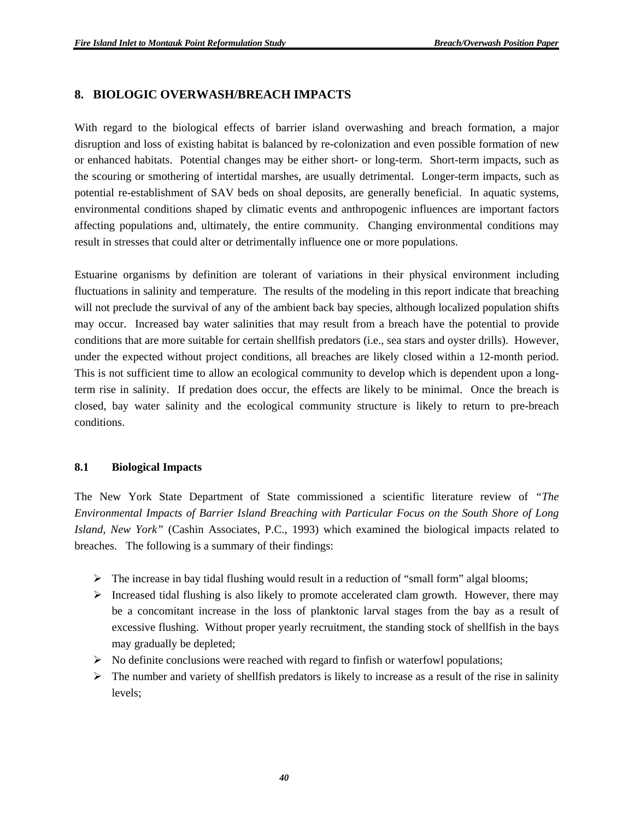### **8. BIOLOGIC OVERWASH/BREACH IMPACTS**

With regard to the biological effects of barrier island overwashing and breach formation, a major disruption and loss of existing habitat is balanced by re-colonization and even possible formation of new or enhanced habitats. Potential changes may be either short- or long-term. Short-term impacts, such as the scouring or smothering of intertidal marshes, are usually detrimental. Longer-term impacts, such as potential re-establishment of SAV beds on shoal deposits, are generally beneficial. In aquatic systems, environmental conditions shaped by climatic events and anthropogenic influences are important factors affecting populations and, ultimately, the entire community. Changing environmental conditions may result in stresses that could alter or detrimentally influence one or more populations.

Estuarine organisms by definition are tolerant of variations in their physical environment including fluctuations in salinity and temperature. The results of the modeling in this report indicate that breaching will not preclude the survival of any of the ambient back bay species, although localized population shifts may occur. Increased bay water salinities that may result from a breach have the potential to provide conditions that are more suitable for certain shellfish predators (i.e., sea stars and oyster drills). However, under the expected without project conditions, all breaches are likely closed within a 12-month period. This is not sufficient time to allow an ecological community to develop which is dependent upon a longterm rise in salinity. If predation does occur, the effects are likely to be minimal. Once the breach is closed, bay water salinity and the ecological community structure is likely to return to pre-breach conditions.

#### **8.1 Biological Impacts**

The New York State Department of State commissioned a scientific literature review of *"The Environmental Impacts of Barrier Island Breaching with Particular Focus on the South Shore of Long Island, New York"* (Cashin Associates, P.C., 1993) which examined the biological impacts related to breaches. The following is a summary of their findings:

- $\triangleright$  The increase in bay tidal flushing would result in a reduction of "small form" algal blooms;
- ¾ Increased tidal flushing is also likely to promote accelerated clam growth. However, there may be a concomitant increase in the loss of planktonic larval stages from the bay as a result of excessive flushing. Without proper yearly recruitment, the standing stock of shellfish in the bays may gradually be depleted;
- $\triangleright$  No definite conclusions were reached with regard to finfish or waterfowl populations;
- $\triangleright$  The number and variety of shellfish predators is likely to increase as a result of the rise in salinity levels;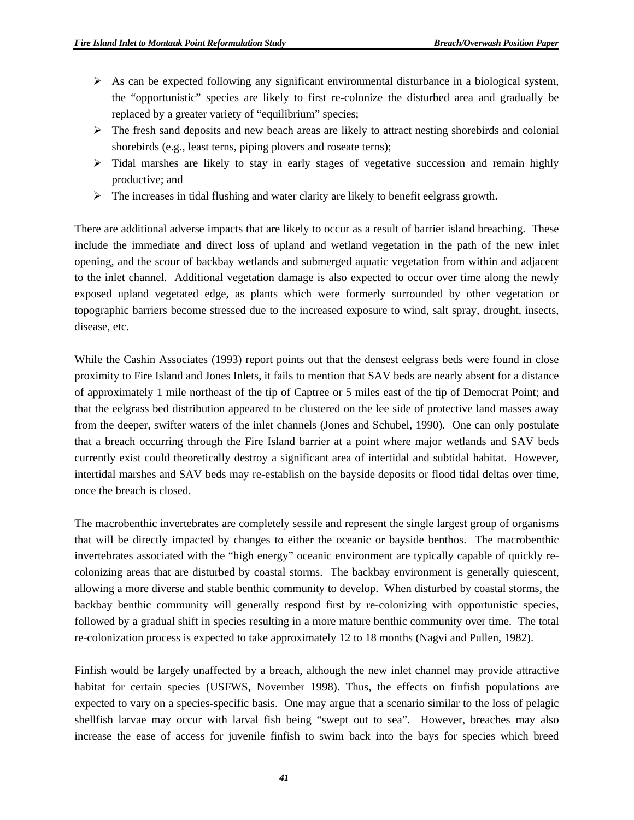- $\triangleright$  As can be expected following any significant environmental disturbance in a biological system, the "opportunistic" species are likely to first re-colonize the disturbed area and gradually be replaced by a greater variety of "equilibrium" species;
- $\triangleright$  The fresh sand deposits and new beach areas are likely to attract nesting shorebirds and colonial shorebirds (e.g., least terns, piping plovers and roseate terns);
- $\triangleright$  Tidal marshes are likely to stay in early stages of vegetative succession and remain highly productive; and
- $\triangleright$  The increases in tidal flushing and water clarity are likely to benefit eelgrass growth.

There are additional adverse impacts that are likely to occur as a result of barrier island breaching. These include the immediate and direct loss of upland and wetland vegetation in the path of the new inlet opening, and the scour of backbay wetlands and submerged aquatic vegetation from within and adjacent to the inlet channel. Additional vegetation damage is also expected to occur over time along the newly exposed upland vegetated edge, as plants which were formerly surrounded by other vegetation or topographic barriers become stressed due to the increased exposure to wind, salt spray, drought, insects, disease, etc.

While the Cashin Associates (1993) report points out that the densest eelgrass beds were found in close proximity to Fire Island and Jones Inlets, it fails to mention that SAV beds are nearly absent for a distance of approximately 1 mile northeast of the tip of Captree or 5 miles east of the tip of Democrat Point; and that the eelgrass bed distribution appeared to be clustered on the lee side of protective land masses away from the deeper, swifter waters of the inlet channels (Jones and Schubel, 1990). One can only postulate that a breach occurring through the Fire Island barrier at a point where major wetlands and SAV beds currently exist could theoretically destroy a significant area of intertidal and subtidal habitat. However, intertidal marshes and SAV beds may re-establish on the bayside deposits or flood tidal deltas over time, once the breach is closed.

The macrobenthic invertebrates are completely sessile and represent the single largest group of organisms that will be directly impacted by changes to either the oceanic or bayside benthos. The macrobenthic invertebrates associated with the "high energy" oceanic environment are typically capable of quickly recolonizing areas that are disturbed by coastal storms. The backbay environment is generally quiescent, allowing a more diverse and stable benthic community to develop. When disturbed by coastal storms, the backbay benthic community will generally respond first by re-colonizing with opportunistic species, followed by a gradual shift in species resulting in a more mature benthic community over time. The total re-colonization process is expected to take approximately 12 to 18 months (Nagvi and Pullen, 1982).

Finfish would be largely unaffected by a breach, although the new inlet channel may provide attractive habitat for certain species (USFWS, November 1998). Thus, the effects on finfish populations are expected to vary on a species-specific basis. One may argue that a scenario similar to the loss of pelagic shellfish larvae may occur with larval fish being "swept out to sea". However, breaches may also increase the ease of access for juvenile finfish to swim back into the bays for species which breed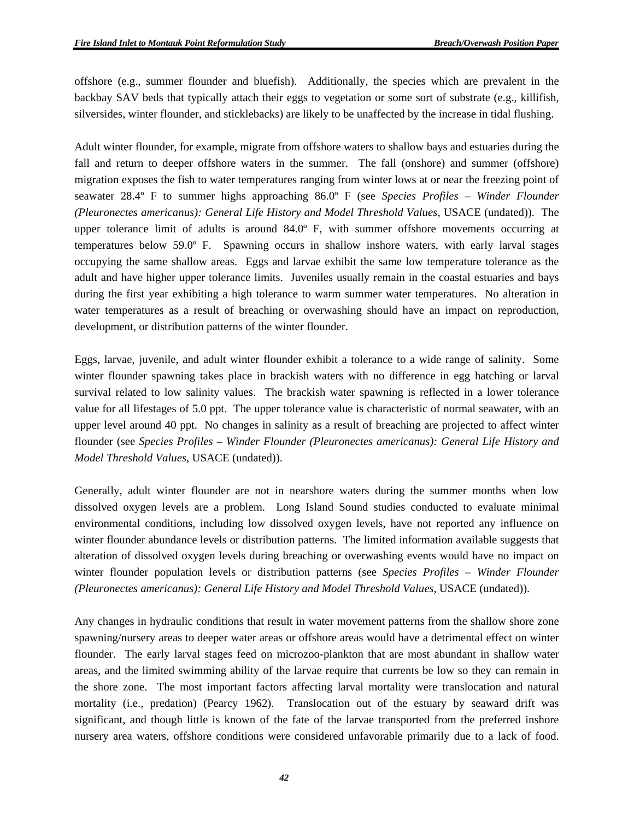offshore (e.g., summer flounder and bluefish). Additionally, the species which are prevalent in the backbay SAV beds that typically attach their eggs to vegetation or some sort of substrate (e.g., killifish, silversides, winter flounder, and sticklebacks) are likely to be unaffected by the increase in tidal flushing.

Adult winter flounder, for example, migrate from offshore waters to shallow bays and estuaries during the fall and return to deeper offshore waters in the summer. The fall (onshore) and summer (offshore) migration exposes the fish to water temperatures ranging from winter lows at or near the freezing point of seawater 28.4º F to summer highs approaching 86.0º F (see *Species Profiles – Winder Flounder (Pleuronectes americanus): General Life History and Model Threshold Values*, USACE (undated)). The upper tolerance limit of adults is around 84.0º F, with summer offshore movements occurring at temperatures below 59.0º F. Spawning occurs in shallow inshore waters, with early larval stages occupying the same shallow areas. Eggs and larvae exhibit the same low temperature tolerance as the adult and have higher upper tolerance limits. Juveniles usually remain in the coastal estuaries and bays during the first year exhibiting a high tolerance to warm summer water temperatures. No alteration in water temperatures as a result of breaching or overwashing should have an impact on reproduction, development, or distribution patterns of the winter flounder.

Eggs, larvae, juvenile, and adult winter flounder exhibit a tolerance to a wide range of salinity. Some winter flounder spawning takes place in brackish waters with no difference in egg hatching or larval survival related to low salinity values. The brackish water spawning is reflected in a lower tolerance value for all lifestages of 5.0 ppt. The upper tolerance value is characteristic of normal seawater, with an upper level around 40 ppt. No changes in salinity as a result of breaching are projected to affect winter flounder (see *Species Profiles – Winder Flounder (Pleuronectes americanus): General Life History and Model Threshold Values*, USACE (undated)).

Generally, adult winter flounder are not in nearshore waters during the summer months when low dissolved oxygen levels are a problem. Long Island Sound studies conducted to evaluate minimal environmental conditions, including low dissolved oxygen levels, have not reported any influence on winter flounder abundance levels or distribution patterns. The limited information available suggests that alteration of dissolved oxygen levels during breaching or overwashing events would have no impact on winter flounder population levels or distribution patterns (see *Species Profiles – Winder Flounder (Pleuronectes americanus): General Life History and Model Threshold Values*, USACE (undated)).

Any changes in hydraulic conditions that result in water movement patterns from the shallow shore zone spawning/nursery areas to deeper water areas or offshore areas would have a detrimental effect on winter flounder. The early larval stages feed on microzoo-plankton that are most abundant in shallow water areas, and the limited swimming ability of the larvae require that currents be low so they can remain in the shore zone. The most important factors affecting larval mortality were translocation and natural mortality (i.e., predation) (Pearcy 1962). Translocation out of the estuary by seaward drift was significant, and though little is known of the fate of the larvae transported from the preferred inshore nursery area waters, offshore conditions were considered unfavorable primarily due to a lack of food.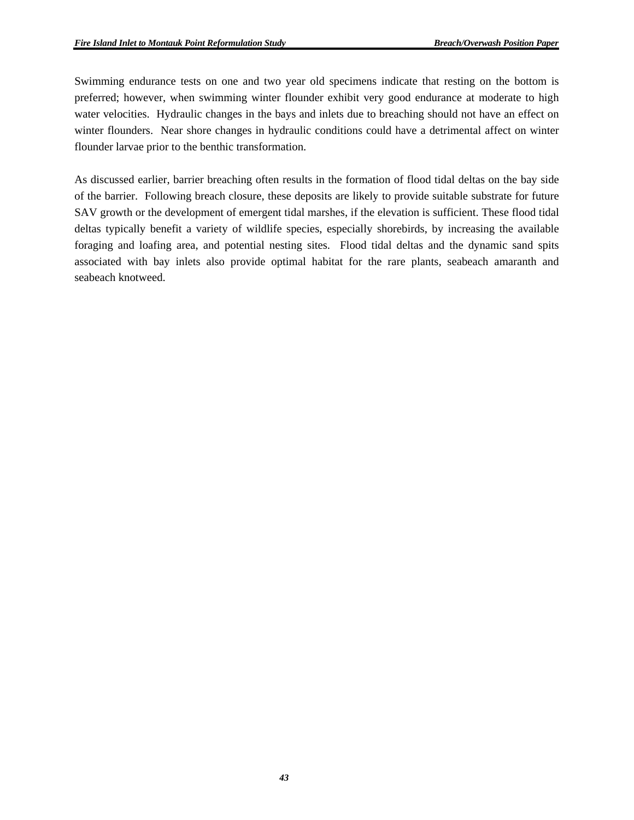Swimming endurance tests on one and two year old specimens indicate that resting on the bottom is preferred; however, when swimming winter flounder exhibit very good endurance at moderate to high water velocities. Hydraulic changes in the bays and inlets due to breaching should not have an effect on winter flounders. Near shore changes in hydraulic conditions could have a detrimental affect on winter flounder larvae prior to the benthic transformation.

As discussed earlier, barrier breaching often results in the formation of flood tidal deltas on the bay side of the barrier. Following breach closure, these deposits are likely to provide suitable substrate for future SAV growth or the development of emergent tidal marshes, if the elevation is sufficient. These flood tidal deltas typically benefit a variety of wildlife species, especially shorebirds, by increasing the available foraging and loafing area, and potential nesting sites. Flood tidal deltas and the dynamic sand spits associated with bay inlets also provide optimal habitat for the rare plants, seabeach amaranth and seabeach knotweed.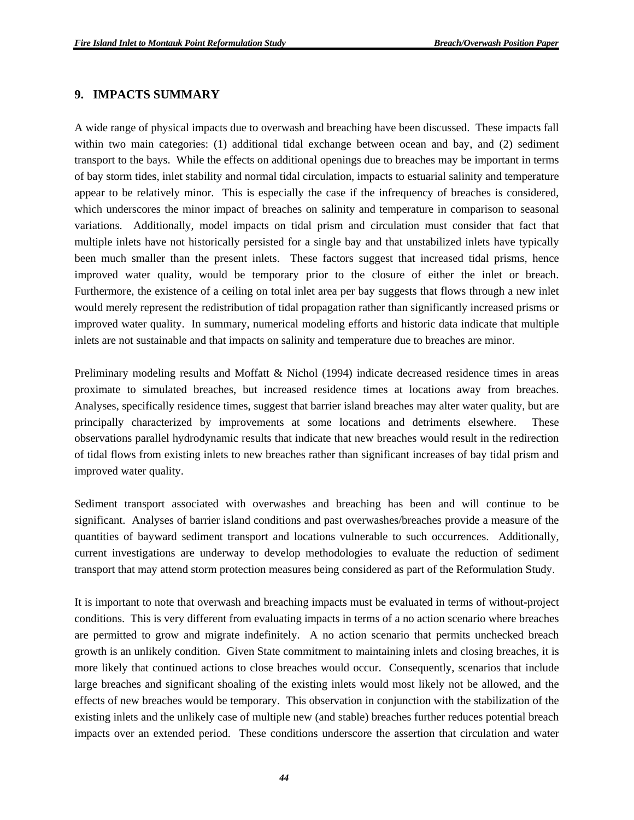#### **9. IMPACTS SUMMARY**

A wide range of physical impacts due to overwash and breaching have been discussed. These impacts fall within two main categories: (1) additional tidal exchange between ocean and bay, and (2) sediment transport to the bays. While the effects on additional openings due to breaches may be important in terms of bay storm tides, inlet stability and normal tidal circulation, impacts to estuarial salinity and temperature appear to be relatively minor. This is especially the case if the infrequency of breaches is considered, which underscores the minor impact of breaches on salinity and temperature in comparison to seasonal variations. Additionally, model impacts on tidal prism and circulation must consider that fact that multiple inlets have not historically persisted for a single bay and that unstabilized inlets have typically been much smaller than the present inlets. These factors suggest that increased tidal prisms, hence improved water quality, would be temporary prior to the closure of either the inlet or breach. Furthermore, the existence of a ceiling on total inlet area per bay suggests that flows through a new inlet would merely represent the redistribution of tidal propagation rather than significantly increased prisms or improved water quality. In summary, numerical modeling efforts and historic data indicate that multiple inlets are not sustainable and that impacts on salinity and temperature due to breaches are minor.

Preliminary modeling results and Moffatt & Nichol (1994) indicate decreased residence times in areas proximate to simulated breaches, but increased residence times at locations away from breaches. Analyses, specifically residence times, suggest that barrier island breaches may alter water quality, but are principally characterized by improvements at some locations and detriments elsewhere. These observations parallel hydrodynamic results that indicate that new breaches would result in the redirection of tidal flows from existing inlets to new breaches rather than significant increases of bay tidal prism and improved water quality.

Sediment transport associated with overwashes and breaching has been and will continue to be significant. Analyses of barrier island conditions and past overwashes/breaches provide a measure of the quantities of bayward sediment transport and locations vulnerable to such occurrences. Additionally, current investigations are underway to develop methodologies to evaluate the reduction of sediment transport that may attend storm protection measures being considered as part of the Reformulation Study.

It is important to note that overwash and breaching impacts must be evaluated in terms of without-project conditions. This is very different from evaluating impacts in terms of a no action scenario where breaches are permitted to grow and migrate indefinitely. A no action scenario that permits unchecked breach growth is an unlikely condition. Given State commitment to maintaining inlets and closing breaches, it is more likely that continued actions to close breaches would occur. Consequently, scenarios that include large breaches and significant shoaling of the existing inlets would most likely not be allowed, and the effects of new breaches would be temporary. This observation in conjunction with the stabilization of the existing inlets and the unlikely case of multiple new (and stable) breaches further reduces potential breach impacts over an extended period. These conditions underscore the assertion that circulation and water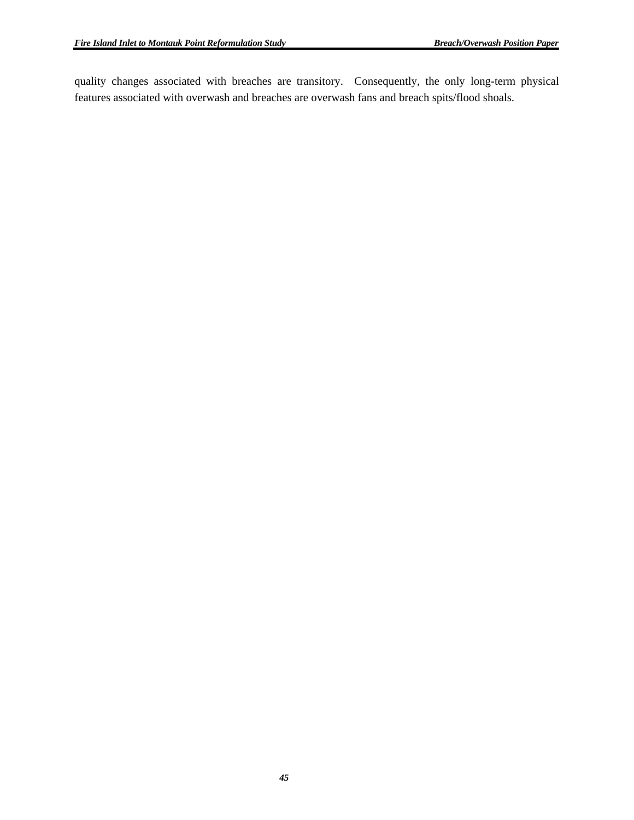quality changes associated with breaches are transitory. Consequently, the only long-term physical features associated with overwash and breaches are overwash fans and breach spits/flood shoals.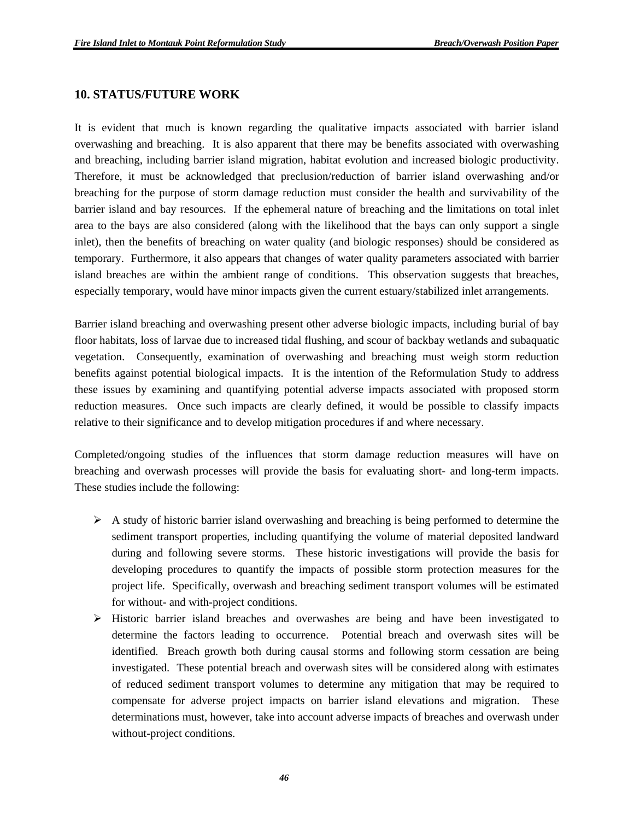#### **10. STATUS/FUTURE WORK**

It is evident that much is known regarding the qualitative impacts associated with barrier island overwashing and breaching. It is also apparent that there may be benefits associated with overwashing and breaching, including barrier island migration, habitat evolution and increased biologic productivity. Therefore, it must be acknowledged that preclusion/reduction of barrier island overwashing and/or breaching for the purpose of storm damage reduction must consider the health and survivability of the barrier island and bay resources. If the ephemeral nature of breaching and the limitations on total inlet area to the bays are also considered (along with the likelihood that the bays can only support a single inlet), then the benefits of breaching on water quality (and biologic responses) should be considered as temporary. Furthermore, it also appears that changes of water quality parameters associated with barrier island breaches are within the ambient range of conditions. This observation suggests that breaches, especially temporary, would have minor impacts given the current estuary/stabilized inlet arrangements.

Barrier island breaching and overwashing present other adverse biologic impacts, including burial of bay floor habitats, loss of larvae due to increased tidal flushing, and scour of backbay wetlands and subaquatic vegetation. Consequently, examination of overwashing and breaching must weigh storm reduction benefits against potential biological impacts. It is the intention of the Reformulation Study to address these issues by examining and quantifying potential adverse impacts associated with proposed storm reduction measures. Once such impacts are clearly defined, it would be possible to classify impacts relative to their significance and to develop mitigation procedures if and where necessary.

Completed/ongoing studies of the influences that storm damage reduction measures will have on breaching and overwash processes will provide the basis for evaluating short- and long-term impacts. These studies include the following:

- $\triangleright$  A study of historic barrier island overwashing and breaching is being performed to determine the sediment transport properties, including quantifying the volume of material deposited landward during and following severe storms. These historic investigations will provide the basis for developing procedures to quantify the impacts of possible storm protection measures for the project life. Specifically, overwash and breaching sediment transport volumes will be estimated for without- and with-project conditions.
- $\triangleright$  Historic barrier island breaches and overwashes are being and have been investigated to determine the factors leading to occurrence. Potential breach and overwash sites will be identified. Breach growth both during causal storms and following storm cessation are being investigated. These potential breach and overwash sites will be considered along with estimates of reduced sediment transport volumes to determine any mitigation that may be required to compensate for adverse project impacts on barrier island elevations and migration. These determinations must, however, take into account adverse impacts of breaches and overwash under without-project conditions.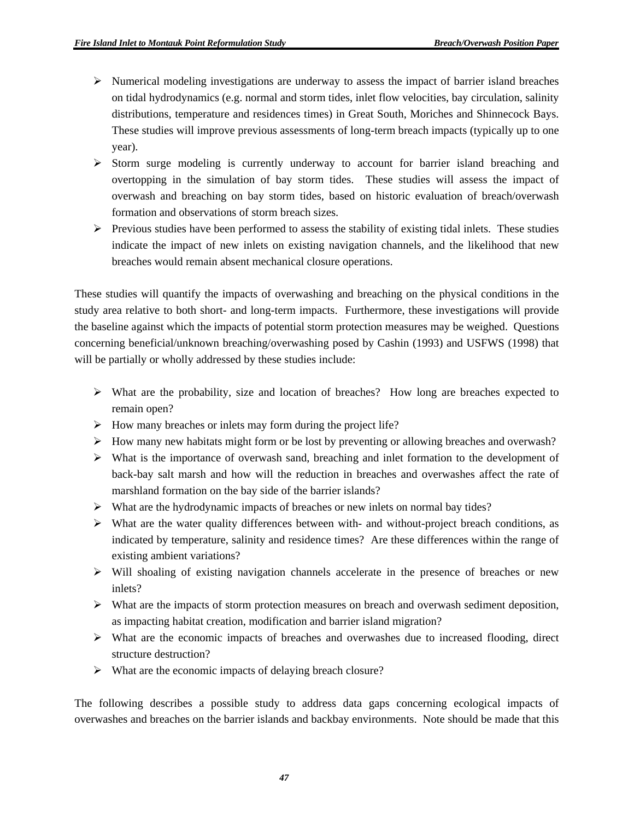- $\triangleright$  Numerical modeling investigations are underway to assess the impact of barrier island breaches on tidal hydrodynamics (e.g. normal and storm tides, inlet flow velocities, bay circulation, salinity distributions, temperature and residences times) in Great South, Moriches and Shinnecock Bays. These studies will improve previous assessments of long-term breach impacts (typically up to one year).
- $\triangleright$  Storm surge modeling is currently underway to account for barrier island breaching and overtopping in the simulation of bay storm tides. These studies will assess the impact of overwash and breaching on bay storm tides, based on historic evaluation of breach/overwash formation and observations of storm breach sizes.
- $\triangleright$  Previous studies have been performed to assess the stability of existing tidal inlets. These studies indicate the impact of new inlets on existing navigation channels, and the likelihood that new breaches would remain absent mechanical closure operations.

These studies will quantify the impacts of overwashing and breaching on the physical conditions in the study area relative to both short- and long-term impacts. Furthermore, these investigations will provide the baseline against which the impacts of potential storm protection measures may be weighed. Questions concerning beneficial/unknown breaching/overwashing posed by Cashin (1993) and USFWS (1998) that will be partially or wholly addressed by these studies include:

- ¾ What are the probability, size and location of breaches? How long are breaches expected to remain open?
- $\triangleright$  How many breaches or inlets may form during the project life?
- $\triangleright$  How many new habitats might form or be lost by preventing or allowing breaches and overwash?
- $\triangleright$  What is the importance of overwash sand, breaching and inlet formation to the development of back-bay salt marsh and how will the reduction in breaches and overwashes affect the rate of marshland formation on the bay side of the barrier islands?
- ¾ What are the hydrodynamic impacts of breaches or new inlets on normal bay tides?
- ¾ What are the water quality differences between with- and without-project breach conditions, as indicated by temperature, salinity and residence times? Are these differences within the range of existing ambient variations?
- $\triangleright$  Will shoaling of existing navigation channels accelerate in the presence of breaches or new inlets?
- $\triangleright$  What are the impacts of storm protection measures on breach and overwash sediment deposition, as impacting habitat creation, modification and barrier island migration?
- ¾ What are the economic impacts of breaches and overwashes due to increased flooding, direct structure destruction?
- $\triangleright$  What are the economic impacts of delaying breach closure?

The following describes a possible study to address data gaps concerning ecological impacts of overwashes and breaches on the barrier islands and backbay environments. Note should be made that this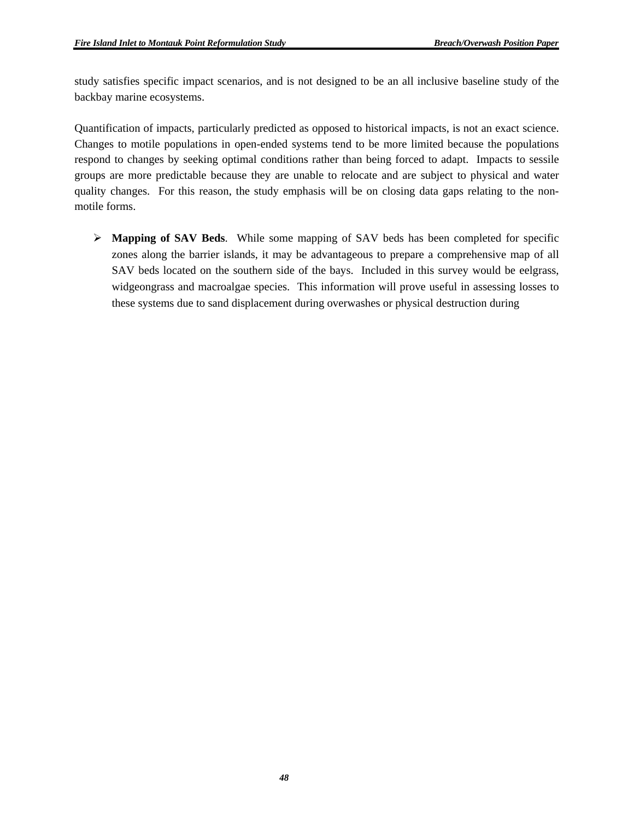study satisfies specific impact scenarios, and is not designed to be an all inclusive baseline study of the backbay marine ecosystems.

Quantification of impacts, particularly predicted as opposed to historical impacts, is not an exact science. Changes to motile populations in open-ended systems tend to be more limited because the populations respond to changes by seeking optimal conditions rather than being forced to adapt. Impacts to sessile groups are more predictable because they are unable to relocate and are subject to physical and water quality changes. For this reason, the study emphasis will be on closing data gaps relating to the nonmotile forms.

¾ **Mapping of SAV Beds**. While some mapping of SAV beds has been completed for specific zones along the barrier islands, it may be advantageous to prepare a comprehensive map of all SAV beds located on the southern side of the bays. Included in this survey would be eelgrass, widgeongrass and macroalgae species. This information will prove useful in assessing losses to these systems due to sand displacement during overwashes or physical destruction during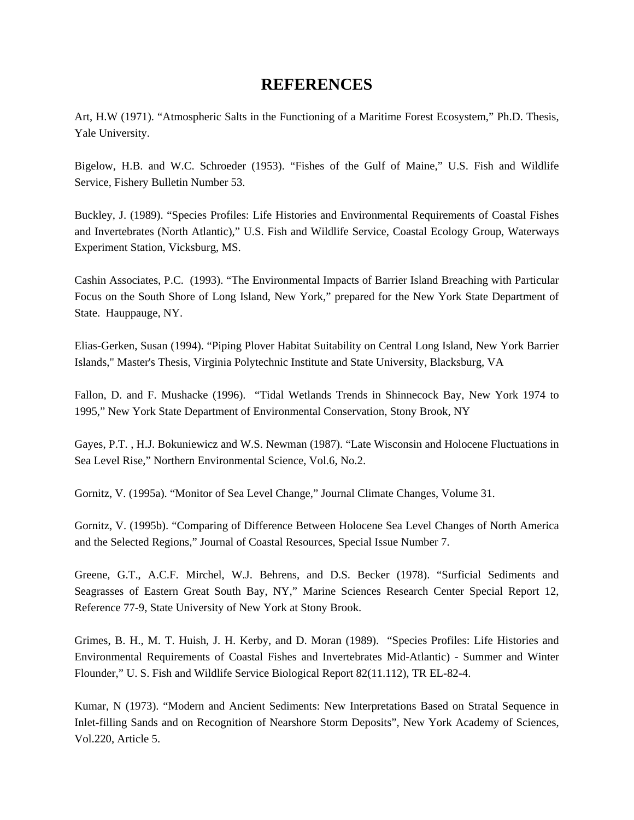## **REFERENCES**

Art, H.W (1971). "Atmospheric Salts in the Functioning of a Maritime Forest Ecosystem," Ph.D. Thesis, Yale University.

Bigelow, H.B. and W.C. Schroeder (1953). "Fishes of the Gulf of Maine," U.S. Fish and Wildlife Service, Fishery Bulletin Number 53.

Buckley, J. (1989). "Species Profiles: Life Histories and Environmental Requirements of Coastal Fishes and Invertebrates (North Atlantic)," U.S. Fish and Wildlife Service, Coastal Ecology Group, Waterways Experiment Station, Vicksburg, MS.

Cashin Associates, P.C. (1993). "The Environmental Impacts of Barrier Island Breaching with Particular Focus on the South Shore of Long Island, New York," prepared for the New York State Department of State. Hauppauge, NY.

Elias-Gerken, Susan (1994). "Piping Plover Habitat Suitability on Central Long Island, New York Barrier Islands," Master's Thesis, Virginia Polytechnic Institute and State University, Blacksburg, VA

Fallon, D. and F. Mushacke (1996). "Tidal Wetlands Trends in Shinnecock Bay, New York 1974 to 1995," New York State Department of Environmental Conservation, Stony Brook, NY

Gayes, P.T. , H.J. Bokuniewicz and W.S. Newman (1987). "Late Wisconsin and Holocene Fluctuations in Sea Level Rise," Northern Environmental Science, Vol.6, No.2.

Gornitz, V. (1995a). "Monitor of Sea Level Change," Journal Climate Changes, Volume 31.

Gornitz, V. (1995b). "Comparing of Difference Between Holocene Sea Level Changes of North America and the Selected Regions," Journal of Coastal Resources, Special Issue Number 7.

Greene, G.T., A.C.F. Mirchel, W.J. Behrens, and D.S. Becker (1978). "Surficial Sediments and Seagrasses of Eastern Great South Bay, NY," Marine Sciences Research Center Special Report 12, Reference 77-9, State University of New York at Stony Brook.

Grimes, B. H., M. T. Huish, J. H. Kerby, and D. Moran (1989). "Species Profiles: Life Histories and Environmental Requirements of Coastal Fishes and Invertebrates Mid-Atlantic) - Summer and Winter Flounder," U. S. Fish and Wildlife Service Biological Report 82(11.112), TR EL-82-4.

Kumar, N (1973). "Modern and Ancient Sediments: New Interpretations Based on Stratal Sequence in Inlet-filling Sands and on Recognition of Nearshore Storm Deposits", New York Academy of Sciences, Vol.220, Article 5.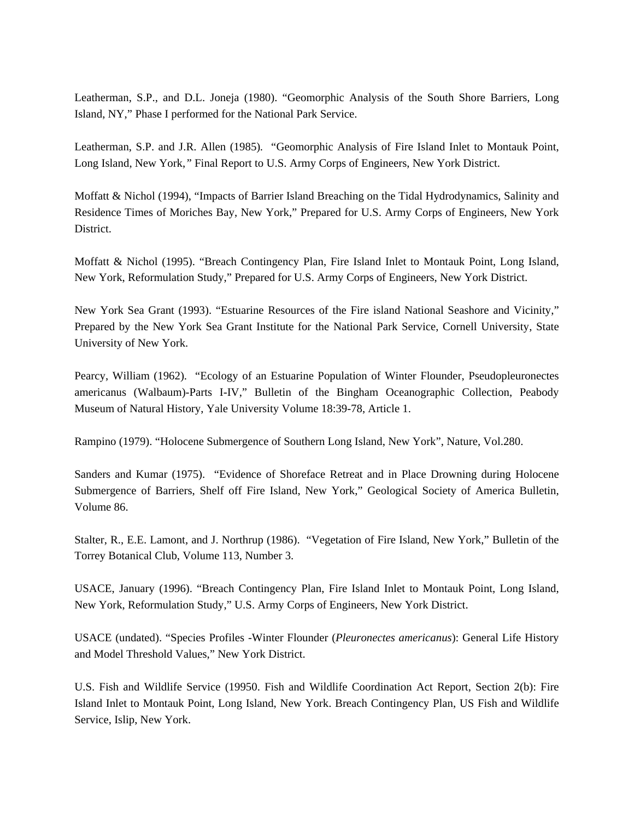Leatherman, S.P., and D.L. Joneja (1980). "Geomorphic Analysis of the South Shore Barriers, Long Island, NY," Phase I performed for the National Park Service.

Leatherman, S.P. and J.R. Allen (1985)*.* "Geomorphic Analysis of Fire Island Inlet to Montauk Point, Long Island, New York,*"* Final Report to U.S. Army Corps of Engineers, New York District.

Moffatt & Nichol (1994), "Impacts of Barrier Island Breaching on the Tidal Hydrodynamics, Salinity and Residence Times of Moriches Bay, New York," Prepared for U.S. Army Corps of Engineers, New York District.

Moffatt & Nichol (1995). "Breach Contingency Plan, Fire Island Inlet to Montauk Point, Long Island, New York, Reformulation Study," Prepared for U.S. Army Corps of Engineers, New York District.

New York Sea Grant (1993). "Estuarine Resources of the Fire island National Seashore and Vicinity," Prepared by the New York Sea Grant Institute for the National Park Service, Cornell University, State University of New York.

Pearcy, William (1962). "Ecology of an Estuarine Population of Winter Flounder, Pseudopleuronectes americanus (Walbaum)-Parts I-IV," Bulletin of the Bingham Oceanographic Collection, Peabody Museum of Natural History, Yale University Volume 18:39-78, Article 1.

Rampino (1979). "Holocene Submergence of Southern Long Island, New York", Nature, Vol.280.

Sanders and Kumar (1975). "Evidence of Shoreface Retreat and in Place Drowning during Holocene Submergence of Barriers, Shelf off Fire Island, New York," Geological Society of America Bulletin, Volume 86.

Stalter, R., E.E. Lamont, and J. Northrup (1986). "Vegetation of Fire Island, New York," Bulletin of the Torrey Botanical Club, Volume 113, Number 3.

USACE, January (1996). "Breach Contingency Plan, Fire Island Inlet to Montauk Point, Long Island, New York, Reformulation Study," U.S. Army Corps of Engineers, New York District.

USACE (undated). "Species Profiles -Winter Flounder (*Pleuronectes americanus*): General Life History and Model Threshold Values," New York District.

U.S. Fish and Wildlife Service (19950. Fish and Wildlife Coordination Act Report, Section 2(b): Fire Island Inlet to Montauk Point, Long Island, New York. Breach Contingency Plan, US Fish and Wildlife Service, Islip, New York.